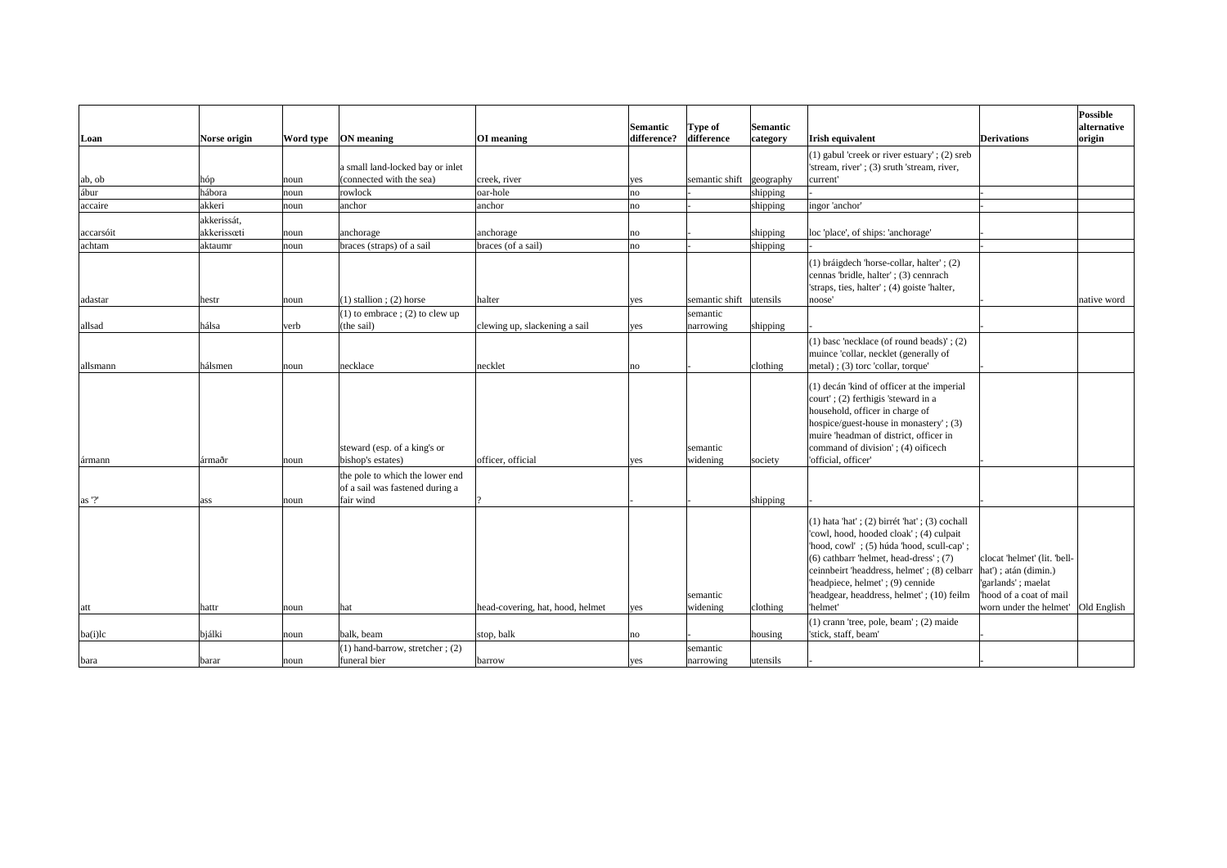|           |               |      |                                                                    |                                  | Semantic    | <b>Type of</b> | Semantic  |                                                                                                                                                                                                                                                                                                                           |                                                                                                         | Possible<br>alternative |
|-----------|---------------|------|--------------------------------------------------------------------|----------------------------------|-------------|----------------|-----------|---------------------------------------------------------------------------------------------------------------------------------------------------------------------------------------------------------------------------------------------------------------------------------------------------------------------------|---------------------------------------------------------------------------------------------------------|-------------------------|
| Loan      | Norse origin  |      | Word type   ON meaning                                             | OI meaning                       | difference? | difference     | category  | <b>Irish equivalent</b>                                                                                                                                                                                                                                                                                                   | <b>Derivations</b>                                                                                      | origin                  |
|           |               |      |                                                                    |                                  |             |                |           | (1) gabul 'creek or river estuary'; $(2)$ sreb                                                                                                                                                                                                                                                                            |                                                                                                         |                         |
|           |               |      | a small land-locked bay or inlet                                   |                                  |             |                |           | 'stream, river'; (3) sruth 'stream, river,                                                                                                                                                                                                                                                                                |                                                                                                         |                         |
| ab, ob    | hóp           | noun | (connected with the sea)                                           | creek, river                     | yes         | semantic shift | geography | current'                                                                                                                                                                                                                                                                                                                  |                                                                                                         |                         |
| ábur      | hábora        | noun | rowlock                                                            | oar-hole                         | no          |                | shipping  |                                                                                                                                                                                                                                                                                                                           |                                                                                                         |                         |
| accaire   | akkeri        | noun | anchor                                                             | anchor                           | no          |                | shipping  | ingor 'anchor'                                                                                                                                                                                                                                                                                                            |                                                                                                         |                         |
|           | akkerissát,   |      |                                                                    |                                  |             |                |           |                                                                                                                                                                                                                                                                                                                           |                                                                                                         |                         |
| accarsóit | akkerissæti   | noun | anchorage                                                          | anchorage                        | no          |                | shipping  | loc 'place', of ships: 'anchorage'                                                                                                                                                                                                                                                                                        |                                                                                                         |                         |
| achtam    | aktaumr       | noun | braces (straps) of a sail                                          | braces (of a sail)               | no          |                | shipping  |                                                                                                                                                                                                                                                                                                                           |                                                                                                         |                         |
|           |               |      |                                                                    |                                  |             |                |           | (1) bráigdech 'horse-collar, halter'; (2)                                                                                                                                                                                                                                                                                 |                                                                                                         |                         |
|           |               |      |                                                                    |                                  |             |                |           | cennas 'bridle, halter'; (3) cennrach                                                                                                                                                                                                                                                                                     |                                                                                                         |                         |
|           |               |      |                                                                    |                                  |             |                |           | 'straps, ties, halter'; (4) goiste 'halter,                                                                                                                                                                                                                                                                               |                                                                                                         |                         |
| adastar   | hestr         | noun | $(1)$ stallion; (2) horse                                          | halter                           | yes         | semantic shift | utensils  | noose'                                                                                                                                                                                                                                                                                                                    |                                                                                                         | native word             |
|           |               |      | $(1)$ to embrace ; (2) to clew up                                  |                                  |             | semantic       |           |                                                                                                                                                                                                                                                                                                                           |                                                                                                         |                         |
| allsad    | hálsa         | verb | (the sail)                                                         | clewing up, slackening a sail    | yes         | narrowing      | shipping  |                                                                                                                                                                                                                                                                                                                           |                                                                                                         |                         |
|           |               |      |                                                                    |                                  |             |                |           | (1) base 'necklace (of round beads)'; $(2)$                                                                                                                                                                                                                                                                               |                                                                                                         |                         |
|           |               |      |                                                                    |                                  |             |                |           | muince 'collar, necklet (generally of                                                                                                                                                                                                                                                                                     |                                                                                                         |                         |
| allsmann  | hálsmen       | noun | necklace                                                           | necklet                          | no          |                | clothing  | metal); (3) torc 'collar, torque'                                                                                                                                                                                                                                                                                         |                                                                                                         |                         |
|           |               |      | steward (esp. of a king's or                                       |                                  |             | semantic       |           | (1) decán 'kind of officer at the imperial<br>court'; (2) ferthigis 'steward in a<br>household, officer in charge of<br>hospice/guest-house in monastery'; (3)<br>muire 'headman of district, officer in<br>command of division'; (4) oificech                                                                            |                                                                                                         |                         |
| ármann    | <b>ármaðr</b> | noun | bishop's estates)                                                  | officer, official                | yes         | widening       | society   | 'official, officer'                                                                                                                                                                                                                                                                                                       |                                                                                                         |                         |
|           |               |      | the pole to which the lower end<br>of a sail was fastened during a |                                  |             |                |           |                                                                                                                                                                                                                                                                                                                           |                                                                                                         |                         |
| as '?'    | ass           | noun | fair wind                                                          |                                  |             |                | shipping  |                                                                                                                                                                                                                                                                                                                           |                                                                                                         |                         |
|           |               |      |                                                                    |                                  |             | semantic       |           | $(1)$ hata 'hat'; $(2)$ birrét 'hat'; $(3)$ cochall<br>'cowl, hood, hooded cloak'; (4) culpait<br>'hood, cowl'; (5) húda 'hood, scull-cap';<br>$(6)$ cathbarr 'helmet, head-dress'; $(7)$<br>ceinnbeirt 'headdress, helmet'; (8) celbarr<br>'headpiece, helmet'; (9) cennide<br>'headgear, headdress, helmet'; (10) feilm | clocat 'helmet' (lit. 'bell-<br>$hat')$ ; atán (dimin.)<br>'garlands'; maelat<br>hood of a coat of mail |                         |
| att       | hattr         | noun | hat                                                                | head-covering, hat, hood, helmet | yes         | widening       | clothing  | 'helmet'                                                                                                                                                                                                                                                                                                                  | worn under the helmet'                                                                                  | <b>Old English</b>      |
|           |               |      |                                                                    |                                  |             |                |           | (1) crann 'tree, pole, beam'; (2) maide                                                                                                                                                                                                                                                                                   |                                                                                                         |                         |
| ba(i)lc   | bjálki        | noun | balk, beam                                                         | stop, balk                       | no          |                | housing   | 'stick, staff, beam'                                                                                                                                                                                                                                                                                                      |                                                                                                         |                         |
|           |               |      | $(1)$ hand-barrow, stretcher; (2)                                  |                                  |             | semantic       |           |                                                                                                                                                                                                                                                                                                                           |                                                                                                         |                         |
| bara      | barar         | noun | funeral bier                                                       | barrow                           | yes         | narrowing      | lutensils |                                                                                                                                                                                                                                                                                                                           |                                                                                                         |                         |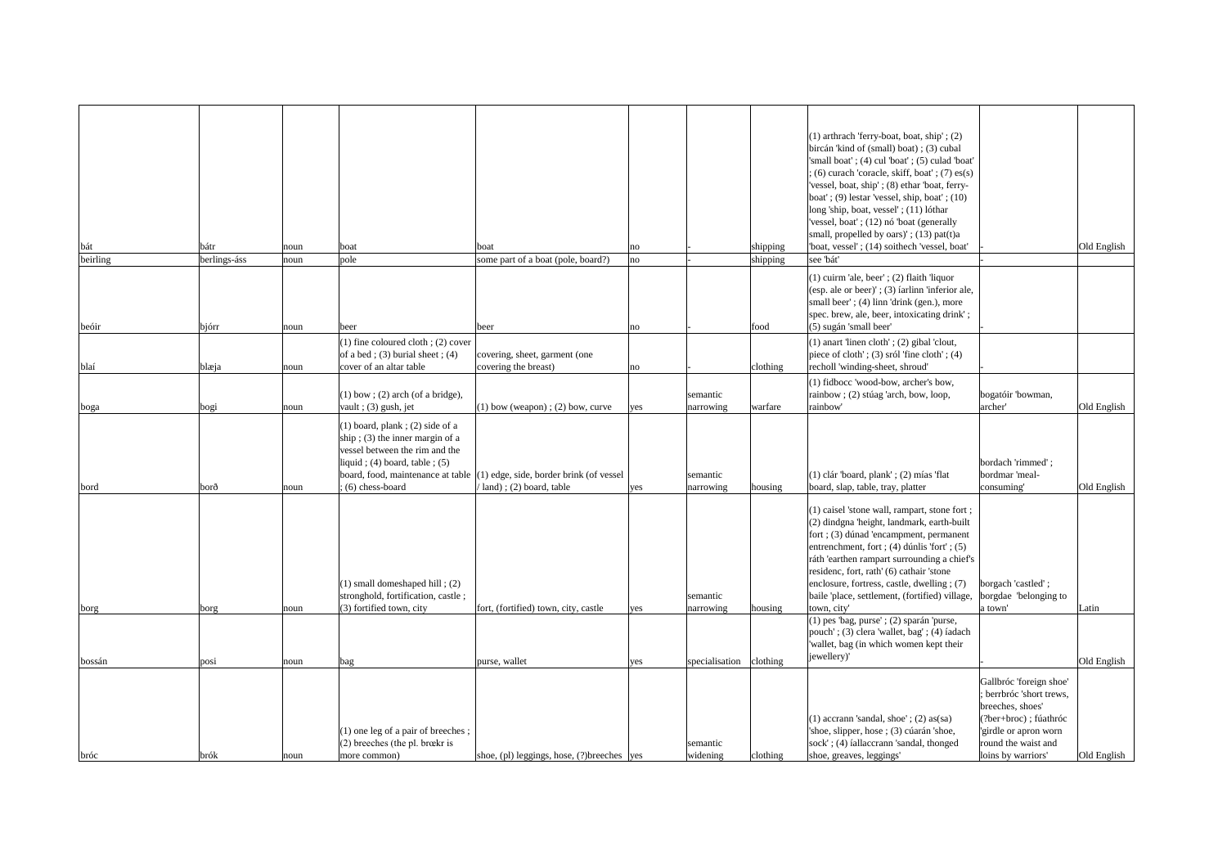|          |              |      |                                        |                                                                              |     |                |          | (1) arthrach 'ferry-boat, boat, ship'; (2)       |                          |             |
|----------|--------------|------|----------------------------------------|------------------------------------------------------------------------------|-----|----------------|----------|--------------------------------------------------|--------------------------|-------------|
|          |              |      |                                        |                                                                              |     |                |          | bircán 'kind of (small) boat); (3) cubal         |                          |             |
|          |              |      |                                        |                                                                              |     |                |          | 'small boat'; (4) cul 'boat'; (5) culad 'boat'   |                          |             |
|          |              |      |                                        |                                                                              |     |                |          | $(6)$ curach 'coracle, skiff, boat' ; (7) es(s)  |                          |             |
|          |              |      |                                        |                                                                              |     |                |          | 'vessel, boat, ship'; (8) ethar 'boat, ferry-    |                          |             |
|          |              |      |                                        |                                                                              |     |                |          |                                                  |                          |             |
|          |              |      |                                        |                                                                              |     |                |          | boat'; $(9)$ lestar 'vessel, ship, boat'; $(10)$ |                          |             |
|          |              |      |                                        |                                                                              |     |                |          | long 'ship, boat, vessel'; (11) lóthar           |                          |             |
|          |              |      |                                        |                                                                              |     |                |          | 'vessel, boat'; (12) nó 'boat (generally         |                          |             |
|          |              |      |                                        |                                                                              |     |                |          | small, propelled by oars)'; (13) pat(t)a         |                          |             |
| bát      | bátr         | noun | boat                                   | boat                                                                         | no  |                | shipping | 'boat, vessel'; (14) soithech 'vessel, boat'     |                          | Old English |
| beirling | berlings-áss | noun | pole                                   | some part of a boat (pole, board?)                                           | no  |                | shipping | see 'bát'                                        |                          |             |
|          |              |      |                                        |                                                                              |     |                |          | $(1)$ cuirm 'ale, beer'; $(2)$ flaith 'liquor    |                          |             |
|          |              |      |                                        |                                                                              |     |                |          |                                                  |                          |             |
|          |              |      |                                        |                                                                              |     |                |          | (esp. ale or beer)'; (3) farlinn 'inferior ale,  |                          |             |
|          |              |      |                                        |                                                                              |     |                |          | small beer'; (4) linn 'drink (gen.), more        |                          |             |
|          |              |      |                                        |                                                                              |     |                |          | spec. brew, ale, beer, intoxicating drink';      |                          |             |
| beóir    | bjórr        | noun | beer                                   | beer                                                                         | no  |                | food     | (5) sugán 'small beer'                           |                          |             |
|          |              |      | $(1)$ fine coloured cloth; $(2)$ cover |                                                                              |     |                |          | (1) anart 'linen cloth'; (2) gibal 'clout,       |                          |             |
|          |              |      |                                        |                                                                              |     |                |          | piece of cloth'; $(3)$ sról 'fine cloth'; $(4)$  |                          |             |
|          |              |      | of a bed; $(3)$ burial sheet; $(4)$    | covering, sheet, garment (one                                                |     |                |          |                                                  |                          |             |
| blaí     | blæja        | noun | cover of an altar table                | covering the breast)                                                         | no  |                | clothing | recholl 'winding-sheet, shroud'                  |                          |             |
|          |              |      |                                        |                                                                              |     |                |          | (1) fidbocc 'wood-bow, archer's bow,             |                          |             |
|          |              |      | $(1)$ bow; (2) arch (of a bridge),     |                                                                              |     | semantic       |          | rainbow; (2) stúag 'arch, bow, loop,             | bogatóir 'bowman,        |             |
| boga     | bogi         | noun | vault; $(3)$ gush, jet                 | $(1)$ bow (weapon); $(2)$ bow, curve                                         | yes | narrowing      | warfare  | rainbow'                                         | archer'                  | Old English |
|          |              |      |                                        |                                                                              |     |                |          |                                                  |                          |             |
|          |              |      | $(1)$ board, plank; (2) side of a      |                                                                              |     |                |          |                                                  |                          |             |
|          |              |      | ship ; (3) the inner margin of a       |                                                                              |     |                |          |                                                  |                          |             |
|          |              |      | vessel between the rim and the         |                                                                              |     |                |          |                                                  |                          |             |
|          |              |      | liquid; $(4)$ board, table; $(5)$      |                                                                              |     |                |          |                                                  | bordach 'rimmed';        |             |
|          |              |      |                                        |                                                                              |     |                |          |                                                  |                          |             |
|          |              |      |                                        | board, food, maintenance at table $ (1)$ edge, side, border brink (of vessel |     | semantic       |          | $(1)$ clár 'board, plank'; $(2)$ mías 'flat      | bordmar 'meal-           |             |
| bord     | borð         | noun | $(6)$ chess-board                      | $'$ land); (2) board, table                                                  | yes | narrowing      | housing  | board, slap, table, tray, platter                | consuming'               | Old English |
|          |              |      |                                        |                                                                              |     |                |          |                                                  |                          |             |
|          |              |      |                                        |                                                                              |     |                |          | (1) caisel 'stone wall, rampart, stone fort;     |                          |             |
|          |              |      |                                        |                                                                              |     |                |          | (2) dindgna 'height, landmark, earth-built       |                          |             |
|          |              |      |                                        |                                                                              |     |                |          | fort ; (3) dúnad 'encampment, permanent          |                          |             |
|          |              |      |                                        |                                                                              |     |                |          | entrenchment, fort; (4) dúnlis 'fort'; (5)       |                          |             |
|          |              |      |                                        |                                                                              |     |                |          | ráth 'earthen rampart surrounding a chief's      |                          |             |
|          |              |      |                                        |                                                                              |     |                |          | residenc, fort, rath' (6) cathair 'stone         |                          |             |
|          |              |      |                                        |                                                                              |     |                |          |                                                  |                          |             |
|          |              |      | $(1)$ small domeshaped hill; $(2)$     |                                                                              |     |                |          | enclosure, fortress, castle, dwelling; (7)       | borgach 'castled';       |             |
|          |              |      | stronghold, fortification, castle;     |                                                                              |     | semantic       |          | baile 'place, settlement, (fortified) village,   | borgdae 'belonging to    |             |
| borg     | borg         | noun | (3) fortified town, city               | fort, (fortified) town, city, castle                                         | yes | narrowing      | housing  | town, city'                                      | a town'                  | Latin       |
|          |              |      |                                        |                                                                              |     |                |          | $(1)$ pes 'bag, purse'; $(2)$ sparán 'purse,     |                          |             |
|          |              |      |                                        |                                                                              |     |                |          | pouch'; (3) clera 'wallet, bag'; (4) íadach      |                          |             |
|          |              |      |                                        |                                                                              |     |                |          | 'wallet, bag (in which women kept their          |                          |             |
|          |              |      |                                        |                                                                              |     |                |          | jewellery)'                                      |                          |             |
| bossán   | posi         | noun | bag                                    | purse, wallet                                                                | yes | specialisation | clothing |                                                  |                          | Old English |
|          |              |      |                                        |                                                                              |     |                |          |                                                  | Gallbróc 'foreign shoe'  |             |
|          |              |      |                                        |                                                                              |     |                |          |                                                  | ; berrbróc 'short trews, |             |
|          |              |      |                                        |                                                                              |     |                |          |                                                  | breeches, shoes'         |             |
|          |              |      |                                        |                                                                              |     |                |          |                                                  |                          |             |
|          |              |      |                                        |                                                                              |     |                |          | $(1)$ accrann 'sandal, shoe'; $(2)$ as(sa)       | (?ber+broc); fúathróc    |             |
|          |              |      | (1) one leg of a pair of breeches;     |                                                                              |     |                |          | 'shoe, slipper, hose ; (3) cúarán 'shoe,         | 'girdle or apron worn    |             |
|          |              |      | $(2)$ breeches (the pl. brockr is      |                                                                              |     | semantic       |          | sock'; (4) fallaccrann 'sandal, thonged          | round the waist and      |             |
| bróc     | brók         | noun | more common)                           | shoe, (pl) leggings, hose, (?) breeches $ yes $                              |     | widening       | clothing | shoe, greaves, leggings'                         | loins by warriors'       | Old English |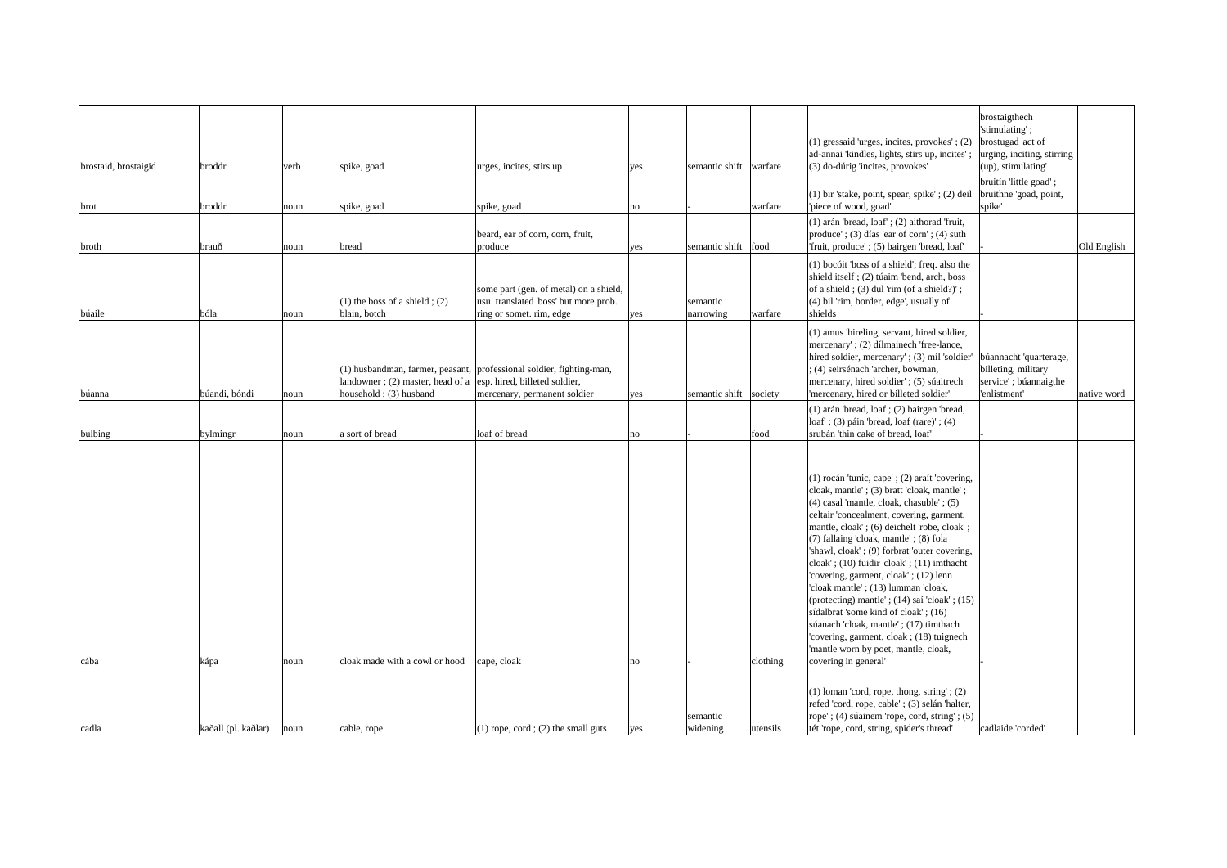| brostaid, brostaigid | broddr              | verb | spike, goad                                                                                       | urges, incites, stirs up                                                                                    | yes | semantic shift warfare |          | $(1)$ gressaid 'urges, incites, provokes'; $(2)$<br>ad-annai 'kindles, lights, stirs up, incites'<br>(3) do-dúrig 'incites, provokes'                                                                                                                                                                                                                                                                                                                                                                                                                                                                                                                                                                                            | brostaigthech<br>'stimulating';<br>brostugad 'act of<br>urging, inciting, stirring<br>$ $ (up), stimulating' |             |
|----------------------|---------------------|------|---------------------------------------------------------------------------------------------------|-------------------------------------------------------------------------------------------------------------|-----|------------------------|----------|----------------------------------------------------------------------------------------------------------------------------------------------------------------------------------------------------------------------------------------------------------------------------------------------------------------------------------------------------------------------------------------------------------------------------------------------------------------------------------------------------------------------------------------------------------------------------------------------------------------------------------------------------------------------------------------------------------------------------------|--------------------------------------------------------------------------------------------------------------|-------------|
| brot                 | broddr              | noun | spike, goad                                                                                       | spike, goad                                                                                                 | no  |                        | warfare  | $(1)$ bir 'stake, point, spear, spike'; $(2)$ deil<br>'piece of wood, goad'                                                                                                                                                                                                                                                                                                                                                                                                                                                                                                                                                                                                                                                      | bruitín 'little goad';<br>bruithne 'goad, point,<br>spike'                                                   |             |
| broth                | brauð               | noun | bread                                                                                             | beard, ear of corn, corn, fruit,<br>produce                                                                 | yes | semantic shift   food  |          | $(1)$ arán 'bread, loaf'; $(2)$ aithorad 'fruit,<br>produce'; (3) días 'ear of corn'; (4) suth<br>Truit, produce'; (5) bairgen 'bread, loaf'                                                                                                                                                                                                                                                                                                                                                                                                                                                                                                                                                                                     |                                                                                                              | Old English |
| búaile               | bóla                | noun | (1) the boss of a shield $(2)$<br>blain, botch                                                    | some part (gen. of metal) on a shield,<br>usu. translated 'boss' but more prob.<br>ring or somet. rim, edge | yes | semantic<br>narrowing  | warfare  | $(1)$ bocóit 'boss of a shield'; freq. also the<br>shield itself $(2)$ túaim 'bend, arch, boss<br>of a shield; $(3)$ dul 'rim (of a shield?)';<br>(4) bil 'rim, border, edge', usually of<br>shields                                                                                                                                                                                                                                                                                                                                                                                                                                                                                                                             |                                                                                                              |             |
| búanna               | búandi, bóndi       | noun | landowner; (2) master, head of a $\vert$ esp. hired, billeted soldier,<br>household $(3)$ husband | (1) husbandman, farmer, peasant, professional soldier, fighting-man,<br>mercenary, permanent soldier        | yes | semantic shift society |          | (1) amus 'hireling, servant, hired soldier,<br>mercenary'; (2) dílmainech 'free-lance,<br>hired soldier, mercenary'; (3) míl 'soldier'<br>; (4) seirsénach 'archer, bowman,<br>mercenary, hired soldier'; (5) súaitrech<br>'mercenary, hired or billeted soldier'                                                                                                                                                                                                                                                                                                                                                                                                                                                                | búannacht 'quarterage,<br>billeting, military<br>service'; búannaigthe<br>'enlistment'                       | native word |
| bulbing              | bylmingr            | noun | a sort of bread                                                                                   | loaf of bread                                                                                               | no  |                        | food     | (1) arán 'bread, loaf ; (2) bairgen 'bread,<br>$\text{loaf}$ ; (3) páin 'bread, loaf (rare)'; (4)<br>srubán 'thin cake of bread, loaf'                                                                                                                                                                                                                                                                                                                                                                                                                                                                                                                                                                                           |                                                                                                              |             |
| cába                 | kápa                | noun | cloak made with a cowl or hood                                                                    | cape, cloak                                                                                                 | no  |                        | clothing | $(1)$ rocán 'tunic, cape'; $(2)$ araít 'covering,<br>cloak, mantle'; (3) bratt 'cloak, mantle';<br>$(4)$ casal 'mantle, cloak, chasuble'; $(5)$<br>celtair 'concealment, covering, garment,<br>mantle, cloak'; (6) deichelt 'robe, cloak';<br>(7) fallaing 'cloak, mantle'; (8) fola<br>'shawl, cloak'; (9) forbrat 'outer covering,<br>$\text{cloak}'$ ; (10) fuidir 'cloak'; (11) imthacht<br>'covering, garment, cloak'; (12) lenn<br>'cloak mantle'; (13) lumman 'cloak,<br>(protecting) mantle'; $(14)$ saí 'cloak'; $(15)$<br>sídalbrat 'some kind of cloak'; $(16)$<br>súanach 'cloak, mantle'; (17) timthach<br>'covering, garment, cloak; (18) tuignech<br>'mantle worn by poet, mantle, cloak,<br>covering in general' |                                                                                                              |             |
|                      |                     |      |                                                                                                   |                                                                                                             |     | semantic               |          | $(1)$ loman 'cord, rope, thong, string'; $(2)$<br>refed 'cord, rope, cable'; (3) selán 'halter,<br>rope'; $(4)$ súainem 'rope, cord, string'; $(5)$                                                                                                                                                                                                                                                                                                                                                                                                                                                                                                                                                                              |                                                                                                              |             |
| cadla                | kaðall (pl. kaðlar) | noun | cable, rope                                                                                       | $(1)$ rope, cord; (2) the small guts                                                                        | yes | widening               | utensils | tét 'rope, cord, string, spider's thread'                                                                                                                                                                                                                                                                                                                                                                                                                                                                                                                                                                                                                                                                                        | cadlaide 'corded'                                                                                            |             |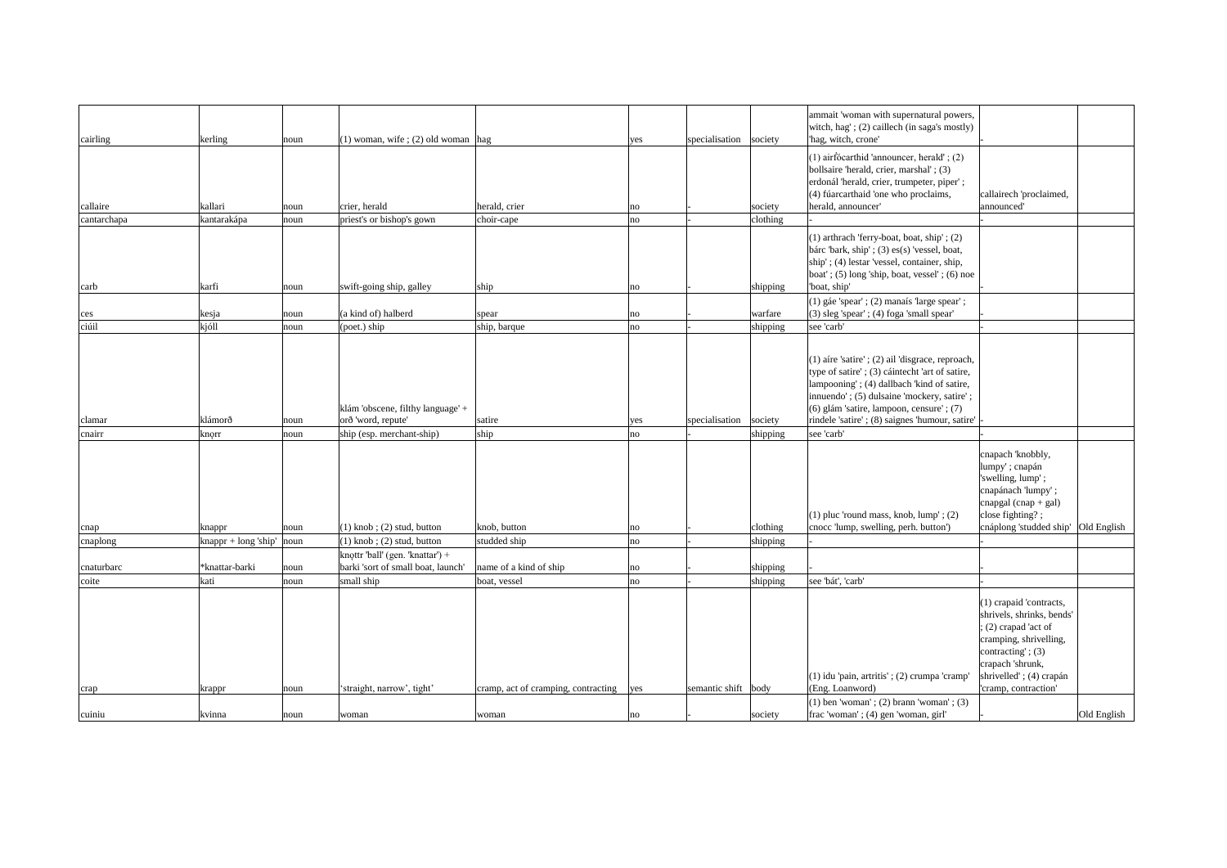|             |                                      |      |                                                                             |                                     |     |                        |          | ammait 'woman with supernatural powers,<br>witch, hag'; (2) caillech (in saga's mostly)                                                                                                                                                                                                          |                                                                                                                                                                              |             |
|-------------|--------------------------------------|------|-----------------------------------------------------------------------------|-------------------------------------|-----|------------------------|----------|--------------------------------------------------------------------------------------------------------------------------------------------------------------------------------------------------------------------------------------------------------------------------------------------------|------------------------------------------------------------------------------------------------------------------------------------------------------------------------------|-------------|
| cairling    | kerling                              | noun | $(1)$ woman, wife; (2) old woman hag                                        |                                     | yes | specialisation society |          | 'hag, witch, crone'                                                                                                                                                                                                                                                                              |                                                                                                                                                                              |             |
| callaire    | kallari                              | noun | crier, herald                                                               | herald, crier                       | no  |                        | society  | $(1)$ airfócarthid 'announcer, herald'; $(2)$<br>bollsaire 'herald, crier, marshal'; (3)<br>erdonál 'herald, crier, trumpeter, piper';<br>(4) fúarcarthaid 'one who proclaims,<br>herald, announcer'                                                                                             | callairech 'proclaimed,<br>announced'                                                                                                                                        |             |
| cantarchapa | kantarakápa                          | noun | priest's or bishop's gown                                                   | choir-cape                          | no  |                        | clothing |                                                                                                                                                                                                                                                                                                  |                                                                                                                                                                              |             |
| carb        | karfi                                | noun | swift-going ship, galley                                                    | ship                                | no  |                        | shipping | (1) arthrach 'ferry-boat, boat, ship'; (2)<br>bárc 'bark, ship' ; $(3)$ es $(s)$ 'vessel, boat,<br>ship'; (4) lestar 'vessel, container, ship,<br>$\vert$ boat'; (5) long 'ship, boat, vessel'; (6) noe<br>'boat, ship'                                                                          |                                                                                                                                                                              |             |
|             |                                      |      |                                                                             |                                     |     |                        |          | (1) gáe 'spear'; (2) manaís 'large spear';                                                                                                                                                                                                                                                       |                                                                                                                                                                              |             |
| ces         | kesja                                | noun | $(a$ kind of) halberd                                                       | spear                               | no  |                        | warfare  | (3) sleg 'spear'; (4) foga 'small spear'                                                                                                                                                                                                                                                         |                                                                                                                                                                              |             |
| ciúil       | $k$ jóll                             | noun | (poet.) ship                                                                | ship, barque                        | no  |                        | shipping | see 'carb'                                                                                                                                                                                                                                                                                       |                                                                                                                                                                              |             |
| clamar      | klámorð                              | noun | klám 'obscene, filthy language' +<br>orð 'word, repute'                     | satire                              | yes | specialisation society |          | $(1)$ aire 'satire'; $(2)$ ail 'disgrace, reproach,<br>type of satire'; (3) cáintecht 'art of satire,<br>lampooning'; (4) dallbach 'kind of satire,<br>innuendo'; (5) dulsaine 'mockery, satire';<br>(6) glám 'satire, lampoon, censure'; (7)<br> rindele 'satire'; (8) saignes 'humour, satire' |                                                                                                                                                                              |             |
| cnairr      | $\vert$ knorr                        | noun | ship (esp. merchant-ship)                                                   | ship                                | no  |                        | shipping | see 'carb'                                                                                                                                                                                                                                                                                       |                                                                                                                                                                              |             |
|             |                                      |      |                                                                             |                                     |     |                        |          | (1) pluc 'round mass, knob, $lump'$ ; (2)                                                                                                                                                                                                                                                        | cnapach 'knobbly,<br>lumpy'; cnapán<br>'swelling, lump';<br>cnapánach 'lumpy';<br>$\alpha$ cnapgal (cnap + gal)<br>close fighting?;                                          |             |
| cnap        | knappr                               | noun | $(1)$ knob; (2) stud, button                                                | knob, button                        | no  |                        | clothing | cnocc 'lump, swelling, perh. button')                                                                                                                                                                                                                                                            | cnáplong 'studded ship' Old English                                                                                                                                          |             |
| cnaplong    | $\kappa$ knappr + long 'ship'   noun |      | $(1)$ knob; $(2)$ stud, button<br>$\kappa$ knottr 'ball' (gen. 'knattar') + | studded ship                        | no  |                        | shipping |                                                                                                                                                                                                                                                                                                  |                                                                                                                                                                              |             |
| cnaturbarc  | *knattar-barki                       | noun | barki 'sort of small boat, launch'                                          | name of a kind of ship              | no  |                        | shipping |                                                                                                                                                                                                                                                                                                  |                                                                                                                                                                              |             |
| coite       | kati                                 | noun | small ship                                                                  | boat, vessel                        | no  |                        | shipping | see 'bát', 'carb'                                                                                                                                                                                                                                                                                |                                                                                                                                                                              |             |
|             |                                      |      |                                                                             |                                     |     |                        |          | (1) idu 'pain, artritis'; (2) crumpa 'cramp'                                                                                                                                                                                                                                                     | (1) crapaid 'contracts,<br>shrivels, shrinks, bends'<br>$(2)$ crapad 'act of<br>cramping, shrivelling,<br>contracting'; $(3)$<br>crapach 'shrunk,<br>shrivelled'; (4) crapán |             |
| crap        | krappr                               | noun | 'straight, narrow', tight'                                                  | cramp, act of cramping, contracting | yes | semantic shift body    |          | (Eng. Loanword)                                                                                                                                                                                                                                                                                  | 'cramp, contraction'                                                                                                                                                         |             |
| cuiniu      | kvinna                               | noun | woman                                                                       | woman                               | no  |                        | society  | $(1)$ ben 'woman'; $(2)$ brann 'woman'; $(3)$<br>frac 'woman'; (4) gen 'woman, girl'                                                                                                                                                                                                             |                                                                                                                                                                              | Old English |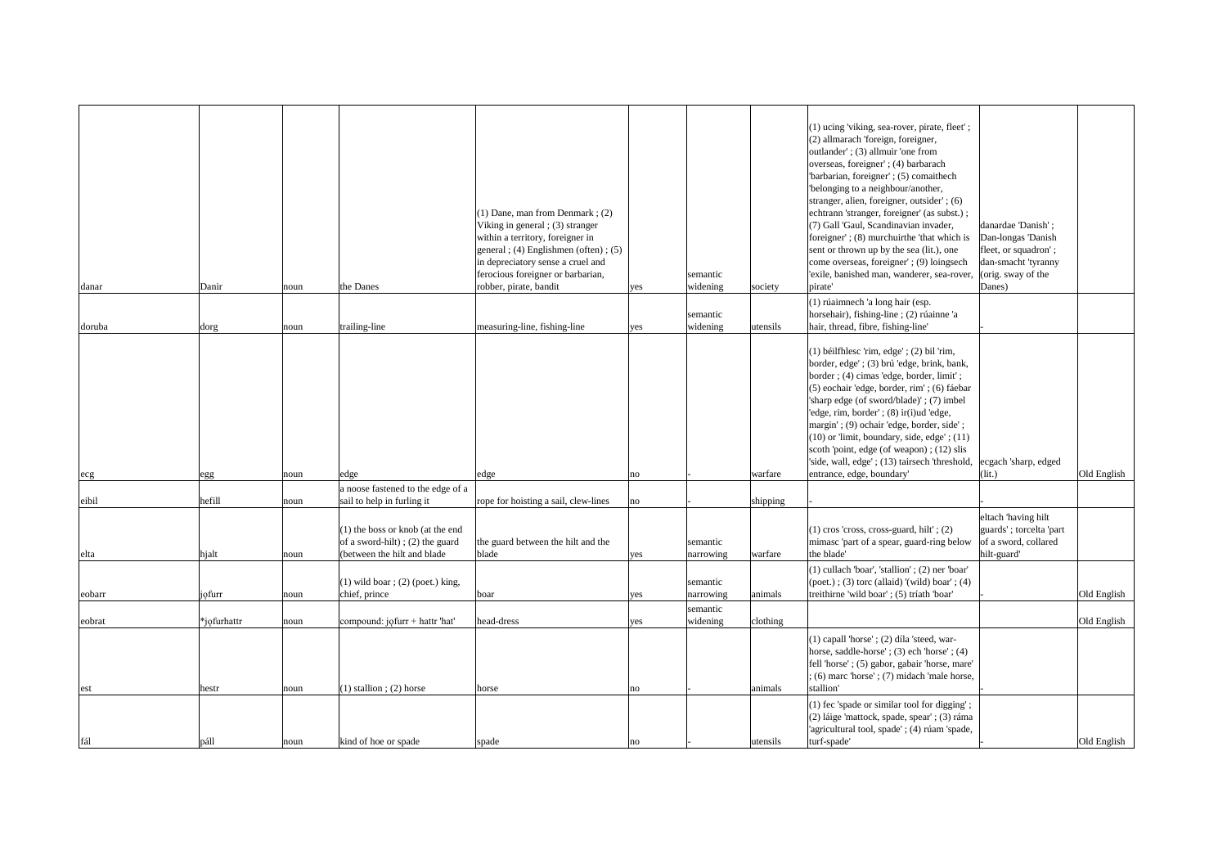|        |                   |      |                                                                                                      | $(1)$ Dane, man from Denmark; $(2)$<br>Viking in general $(3)$ stranger<br>within a territory, foreigner in<br>general ; (4) Englishmen (often) ; (5) |                |                       |           | (1) ucing 'viking, sea-rover, pirate, fleet';<br>(2) allmarach 'foreign, foreigner,<br>outlander'; (3) allmuir 'one from<br>overseas, foreigner'; (4) barbarach<br>'barbarian, foreigner'; (5) comaithech<br>'belonging to a neighbour/another,<br>stranger, alien, foreigner, outsider'; (6)<br>echtrann 'stranger, foreigner' (as subst.);<br>(7) Gall 'Gaul, Scandinavian invader,<br>foreigner'; (8) murchuirthe 'that which is<br>sent or thrown up by the sea (lit.), one                   | danardae 'Danish';<br>Dan-longas 'Danish<br>fleet, or squadron';                      |             |
|--------|-------------------|------|------------------------------------------------------------------------------------------------------|-------------------------------------------------------------------------------------------------------------------------------------------------------|----------------|-----------------------|-----------|---------------------------------------------------------------------------------------------------------------------------------------------------------------------------------------------------------------------------------------------------------------------------------------------------------------------------------------------------------------------------------------------------------------------------------------------------------------------------------------------------|---------------------------------------------------------------------------------------|-------------|
| danar  | Danir             | noun | the Danes                                                                                            | in depreciatory sense a cruel and<br>ferocious foreigner or barbarian,<br>robber, pirate, bandit                                                      | yes            | semantic<br>widening  | society   | come overseas, foreigner'; (9) loingsech<br>'exile, banished man, wanderer, sea-rover, (orig. sway of the<br>pirate'                                                                                                                                                                                                                                                                                                                                                                              | dan-smacht 'tyranny<br>Danes)                                                         |             |
| doruba | dorg              | noun | trailing-line                                                                                        | measuring-line, fishing-line                                                                                                                          | yes            | semantic<br>widening  | lutensils | (1) rúaimnech 'a long hair (esp.<br>horsehair), fishing-line ; (2) rúainne 'a<br>hair, thread, fibre, fishing-line'                                                                                                                                                                                                                                                                                                                                                                               |                                                                                       |             |
|        |                   |      |                                                                                                      |                                                                                                                                                       |                |                       |           | $(1)$ béilfhlesc 'rim, edge'; $(2)$ bil 'rim,<br>border, edge'; (3) brú 'edge, brink, bank,<br>border; (4) cimas 'edge, border, limit';<br>(5) eochair 'edge, border, rim'; (6) fáebar<br>'sharp edge (of sword/blade)'; (7) imbel<br>'edge, rim, border'; (8) ir(i)ud 'edge,<br>margin'; (9) ochair 'edge, border, side';<br>$(10)$ or 'limit, boundary, side, edge'; $(11)$<br>scoth 'point, edge (of weapon); (12) slis<br>'side, wall, edge'; (13) tairsech 'threshold,  ecgach 'sharp, edged |                                                                                       |             |
| ecg    | egg               | noun | edge<br>a noose fastened to the edge of a                                                            | edge                                                                                                                                                  | no             |                       | warfare   | entrance, edge, boundary'                                                                                                                                                                                                                                                                                                                                                                                                                                                                         | $\int$ (lit.)                                                                         | Old English |
| eibil  | hefill            | noun | sail to help in furling it                                                                           | rope for hoisting a sail, clew-lines                                                                                                                  | $\overline{p}$ |                       | shipping  |                                                                                                                                                                                                                                                                                                                                                                                                                                                                                                   |                                                                                       |             |
| elta   | hjalt             | noun | $(1)$ the boss or knob (at the end<br>of a sword-hilt); (2) the guard<br>(between the hilt and blade | the guard between the hilt and the<br>blade                                                                                                           | yes            | semantic<br>narrowing | warfare   | $(1)$ cros 'cross, cross-guard, hilt'; $(2)$<br>mimasc 'part of a spear, guard-ring below<br>the blade'                                                                                                                                                                                                                                                                                                                                                                                           | eltach 'having hilt<br>guards'; torcelta 'part<br>of a sword, collared<br>hilt-guard' |             |
|        |                   |      | $(1)$ wild boar; $(2)$ (poet.) king,                                                                 |                                                                                                                                                       |                | semantic              |           | (1) cullach 'boar', 'stallion'; (2) ner 'boar'<br>$(poet.); (3)$ torc (allaid) '(wild) boar'; (4)                                                                                                                                                                                                                                                                                                                                                                                                 |                                                                                       |             |
| eobarr | <i>i</i> ofurr    | noun | chief, prince                                                                                        | boar                                                                                                                                                  | yes            | narrowing             | animals   | treithirne 'wild boar'; (5) tríath 'boar'                                                                                                                                                                                                                                                                                                                                                                                                                                                         |                                                                                       | Old English |
|        | $\ast$ jofurhattr |      |                                                                                                      | head-dress                                                                                                                                            |                | semantic              |           |                                                                                                                                                                                                                                                                                                                                                                                                                                                                                                   |                                                                                       |             |
| eobrat |                   | noun | compound: $j$ <i>o</i> furr + hattr 'hat'                                                            |                                                                                                                                                       | yes            | widening              | clothing  | $(1)$ capall 'horse'; $(2)$ díla 'steed, war-<br>horse, saddle-horse'; $(3)$ ech 'horse'; $(4)$<br>fell 'horse'; (5) gabor, gabair 'horse, mare'<br>$(6)$ marc 'horse' $(7)$ midach 'male horse,                                                                                                                                                                                                                                                                                                  |                                                                                       | Old English |
| est    | hestr             | noun | $(1)$ stallion; (2) horse                                                                            | horse                                                                                                                                                 | no             |                       | animals   | stallion'                                                                                                                                                                                                                                                                                                                                                                                                                                                                                         |                                                                                       |             |
|        |                   |      |                                                                                                      |                                                                                                                                                       |                |                       |           | (1) fec 'spade or similar tool for digging';<br>(2) láige 'mattock, spade, spear'; (3) ráma<br>'agricultural tool, spade'; (4) rúam 'spade,                                                                                                                                                                                                                                                                                                                                                       |                                                                                       |             |
| fál    | páll              | noun | kind of hoe or spade                                                                                 | spade                                                                                                                                                 | no             |                       | utensils  | turf-spade'                                                                                                                                                                                                                                                                                                                                                                                                                                                                                       |                                                                                       | Old English |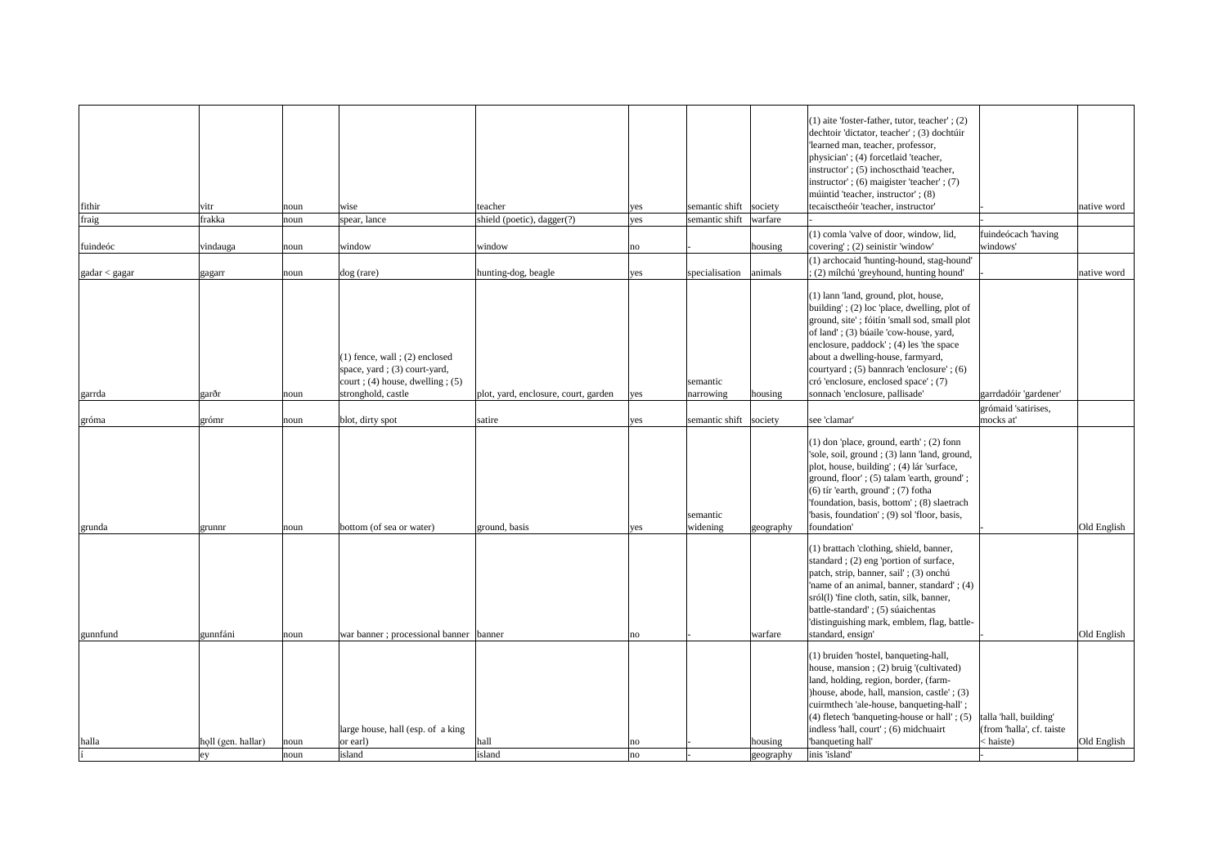|                               |                          |              |                                                                                                                                |                                      |                 |                        |                      | $(1)$ aite 'foster-father, tutor, teacher'; $(2)$<br>dechtoir 'dictator, teacher'; (3) dochtúir<br>'learned man, teacher, professor,<br>physician'; (4) forcetlaid 'teacher,<br>instructor'; (5) inchose thaid 'teacher,<br>instructor'; $(6)$ maigister 'teacher'; $(7)$<br>múintid 'teacher, instructor'; (8)                                                                                                                                              |                                                                  |             |
|-------------------------------|--------------------------|--------------|--------------------------------------------------------------------------------------------------------------------------------|--------------------------------------|-----------------|------------------------|----------------------|--------------------------------------------------------------------------------------------------------------------------------------------------------------------------------------------------------------------------------------------------------------------------------------------------------------------------------------------------------------------------------------------------------------------------------------------------------------|------------------------------------------------------------------|-------------|
| fithir                        | vitr                     | noun         | wise                                                                                                                           | teacher                              | yes             | semantic shift society |                      | tecaisctheóir 'teacher, instructor'                                                                                                                                                                                                                                                                                                                                                                                                                          |                                                                  | native word |
| fraig                         | frakka                   | noun         | spear, lance                                                                                                                   | shield (poetic), dagger(?)           | yes             | semantic shift         | warfare              |                                                                                                                                                                                                                                                                                                                                                                                                                                                              |                                                                  |             |
|                               |                          |              |                                                                                                                                |                                      |                 |                        |                      | (1) comla 'valve of door, window, lid,                                                                                                                                                                                                                                                                                                                                                                                                                       | fuindeócach 'having                                              |             |
| fuindeóc                      | vindauga                 | noun         | window                                                                                                                         | window                               | $\overline{no}$ |                        | housing              | covering'; (2) seinistir 'window'                                                                                                                                                                                                                                                                                                                                                                                                                            | windows'                                                         |             |
|                               |                          |              |                                                                                                                                |                                      |                 |                        |                      | (1) archocaid 'hunting-hound, stag-hound'                                                                                                                                                                                                                                                                                                                                                                                                                    |                                                                  |             |
| $\alpha$ gadar $\alpha$ gagar | gagarr                   | noun         | $\log$ (rare)                                                                                                                  | hunting-dog, beagle                  | yes             | specialisation         | animals              | ; (2) mílchú 'greyhound, hunting hound'                                                                                                                                                                                                                                                                                                                                                                                                                      |                                                                  | native word |
| garrda                        | garðr                    | noun         | $(1)$ fence, wall ; $(2)$ enclosed<br>space, yard; (3) court-yard,<br>$court$ ; (4) house, dwelling; (5)<br>stronghold, castle | plot, yard, enclosure, court, garden | yes             | semantic<br>narrowing  | housing              | (1) lann 'land, ground, plot, house,<br>building'; (2) loc 'place, dwelling, plot of<br>ground, site'; fóitín 'small sod, small plot<br>of land'; (3) búaile 'cow-house, yard,<br>enclosure, paddock'; (4) les 'the space<br>about a dwelling-house, farmyard,<br>courtyard; (5) bannrach 'enclosure'; (6)<br>cró 'enclosure, enclosed space'; (7)<br>sonnach 'enclosure, pallisade'                                                                         | garrdadóir 'gardener'                                            |             |
| gróma                         | grómr                    | noun         | blot, dirty spot                                                                                                               | satire                               | yes             | semantic shift society |                      | see 'clamar'                                                                                                                                                                                                                                                                                                                                                                                                                                                 | grómaid 'satirises,<br>mocks at'                                 |             |
| grunda                        | grunnr                   | noun         | bottom (of sea or water)                                                                                                       | ground, basis                        | yes             | semantic<br>widening   | geography            | (1) don 'place, ground, earth'; (2) fonn<br>'sole, soil, ground ; (3) lann 'land, ground,<br>plot, house, building'; (4) lár 'surface,<br>ground, floor'; (5) talam 'earth, ground';<br>$(6)$ tír 'earth, ground'; $(7)$ fotha<br>'foundation, basis, bottom'; (8) slaetrach<br>"basis, foundation'; (9) sol 'floor, basis,<br>foundation'                                                                                                                   |                                                                  | Old English |
| gunnfund                      | gunnfáni                 | noun         | war banner; processional banner                                                                                                | banner                               | no              |                        | warfare              | (1) brattach 'clothing, shield, banner,<br>standard; (2) eng 'portion of surface,<br>patch, strip, banner, sail'; (3) onchú<br>'name of an animal, banner, standard'; (4)<br>sról(l) 'fine cloth, satin, silk, banner,<br>battle-standard'; (5) súaichentas<br>'distinguishing mark, emblem, flag, battle-<br>standard, ensign'<br>(1) bruiden 'hostel, banqueting-hall,<br>house, mansion; (2) bruig '(cultivated)<br>land, holding, region, border, (farm- |                                                                  | Old English |
| halla                         | holl (gen. hallar)<br>ey | noun<br>noun | large house, hall (esp. of a king<br>or earl)<br>island                                                                        | hall<br>island                       | no <br> no      |                        | housing<br>geography | )house, abode, hall, mansion, castle'; (3)<br>cuirmthech 'ale-house, banqueting-hall';<br>$(4)$ fletech 'banqueting-house or hall'; $(5)$<br>indless 'hall, court'; (6) midchuairt<br>'banqueting hall'<br>inis 'island'                                                                                                                                                                                                                                     | talla 'hall, building'<br>(from 'halla', cf. taiste<br>< haiste) | Old English |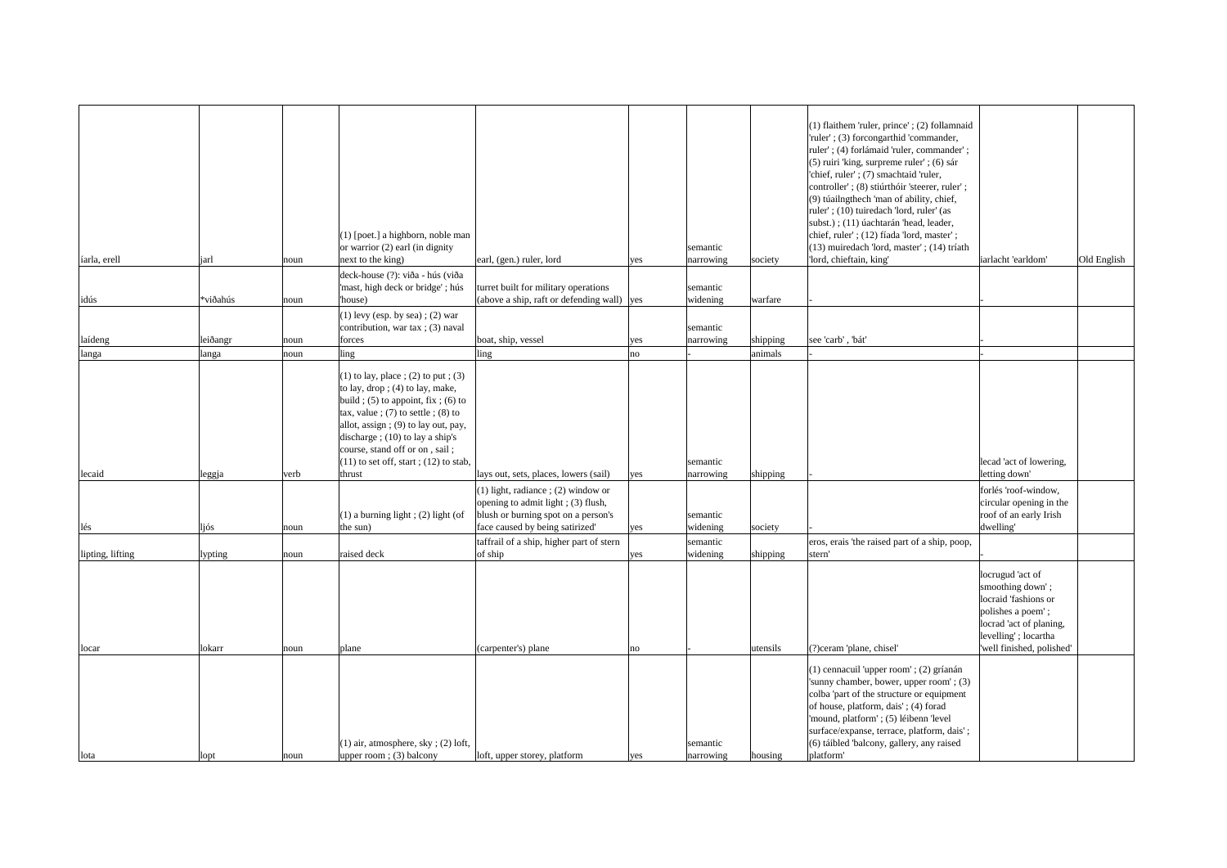|                  |          |      | (1) [poet.] a highborn, noble man<br>or warrior $(2)$ earl (in dignity                                                                                                                                                                                                                                                           |                                                                                                                                                         |     | semantic              |          | (1) flaithem 'ruler, prince'; (2) follamnaid<br>'ruler'; (3) forcongarthid 'commander,<br>ruler'; (4) forlámaid 'ruler, commander';<br>(5) ruiri 'king, surpreme ruler'; (6) sár<br>'chief, ruler'; (7) smachtaid 'ruler,<br>controller'; (8) stiúrthóir 'steerer, ruler';<br>(9) túailngthech 'man of ability, chief,<br>ruler'; (10) tuiredach 'lord, ruler' (as<br>subst.); (11) úachtarán 'head, leader,<br>chief, ruler'; (12) fíada 'lord, master';<br>(13) muiredach 'lord, master'; (14) tríath |                                                                                                                                                                   |             |
|------------------|----------|------|----------------------------------------------------------------------------------------------------------------------------------------------------------------------------------------------------------------------------------------------------------------------------------------------------------------------------------|---------------------------------------------------------------------------------------------------------------------------------------------------------|-----|-----------------------|----------|---------------------------------------------------------------------------------------------------------------------------------------------------------------------------------------------------------------------------------------------------------------------------------------------------------------------------------------------------------------------------------------------------------------------------------------------------------------------------------------------------------|-------------------------------------------------------------------------------------------------------------------------------------------------------------------|-------------|
| íarla, erell     | jarl     | noun | next to the king)                                                                                                                                                                                                                                                                                                                | earl, (gen.) ruler, lord                                                                                                                                | yes | narrowing             | society  | 'lord, chieftain, king'                                                                                                                                                                                                                                                                                                                                                                                                                                                                                 | iarlacht 'earldom'                                                                                                                                                | Old English |
| idús             | *viðahús | noun | deck-house (?): viða - hús (viða<br>'mast, high deck or bridge'; hús<br>house)                                                                                                                                                                                                                                                   | turret built for military operations<br>(above a ship, raft or defending wall) $\vert$ yes                                                              |     | semantic<br>widening  | warfare  |                                                                                                                                                                                                                                                                                                                                                                                                                                                                                                         |                                                                                                                                                                   |             |
|                  |          |      | $(1)$ levy (esp. by sea); (2) war                                                                                                                                                                                                                                                                                                |                                                                                                                                                         |     |                       |          |                                                                                                                                                                                                                                                                                                                                                                                                                                                                                                         |                                                                                                                                                                   |             |
|                  |          |      | contribution, war tax; $(3)$ naval                                                                                                                                                                                                                                                                                               |                                                                                                                                                         |     | semantic              |          |                                                                                                                                                                                                                                                                                                                                                                                                                                                                                                         |                                                                                                                                                                   |             |
| laídeng          | leiðangr | noun | forces                                                                                                                                                                                                                                                                                                                           | boat, ship, vessel                                                                                                                                      | yes | narrowing             | shipping | see 'carb', 'bát'                                                                                                                                                                                                                                                                                                                                                                                                                                                                                       |                                                                                                                                                                   |             |
| langa            | langa    | noun | ling                                                                                                                                                                                                                                                                                                                             | ling                                                                                                                                                    | no  |                       | animals  |                                                                                                                                                                                                                                                                                                                                                                                                                                                                                                         |                                                                                                                                                                   |             |
|                  |          |      | $(1)$ to lay, place ; (2) to put ; (3)<br>to lay, drop ; $(4)$ to lay, make,<br>build ; $(5)$ to appoint, fix ; $(6)$ to<br>tax, value; $(7)$ to settle; $(8)$ to<br>allot, assign ; $(9)$ to lay out, pay,<br>discharge ; $(10)$ to lay a ship's<br>course, stand off or on, sail;<br>$(11)$ to set off, start; $(12)$ to stab, |                                                                                                                                                         |     | semantic              |          |                                                                                                                                                                                                                                                                                                                                                                                                                                                                                                         | lecad 'act of lowering,                                                                                                                                           |             |
| lecaid           | leggja   | verb | thrust                                                                                                                                                                                                                                                                                                                           | lays out, sets, places, lowers (sail)                                                                                                                   | yes | narrowing             | shipping |                                                                                                                                                                                                                                                                                                                                                                                                                                                                                                         | letting down'                                                                                                                                                     |             |
| lés              | ljós     | noun | $(1)$ a burning light; (2) light (of<br>the sun)                                                                                                                                                                                                                                                                                 | $(1)$ light, radiance ; $(2)$ window or<br>opening to admit light; (3) flush,<br>blush or burning spot on a person's<br>face caused by being satirized' | yes | semantic<br>widening  | society  |                                                                                                                                                                                                                                                                                                                                                                                                                                                                                                         | forlés 'roof-window,<br>circular opening in the<br>roof of an early Irish<br>dwelling'                                                                            |             |
|                  |          |      |                                                                                                                                                                                                                                                                                                                                  | taffrail of a ship, higher part of stern                                                                                                                |     | semantic              |          | eros, erais 'the raised part of a ship, poop,                                                                                                                                                                                                                                                                                                                                                                                                                                                           |                                                                                                                                                                   |             |
| lipting, lifting | lypting  | noun | raised deck                                                                                                                                                                                                                                                                                                                      | of ship                                                                                                                                                 | yes | widening              | shipping | stern'                                                                                                                                                                                                                                                                                                                                                                                                                                                                                                  |                                                                                                                                                                   |             |
| locar            | lokarr   | noun | plane                                                                                                                                                                                                                                                                                                                            | (carpenter's) plane                                                                                                                                     | no  |                       | utensils | (?) ceram 'plane, chisel'                                                                                                                                                                                                                                                                                                                                                                                                                                                                               | locrugud 'act of<br>smoothing down';<br>locraid 'fashions or<br>polishes a poem';<br>locrad 'act of planing,<br>levelling'; locartha<br>'well finished, polished' |             |
| lota             | lopt     | noun | $(1)$ air, atmosphere, sky; (2) loft,<br>upper room; (3) balcony                                                                                                                                                                                                                                                                 | loft, upper storey, platform                                                                                                                            | yes | semantic<br>narrowing | housing  | (1) cennacuil 'upper room'; (2) gríanán<br>'sunny chamber, bower, upper room'; (3)<br>colba 'part of the structure or equipment<br>of house, platform, dais'; (4) forad<br>'mound, platform'; (5) léibenn 'level<br>surface/expanse, terrace, platform, dais';<br>(6) táibled 'balcony, gallery, any raised<br>platform'                                                                                                                                                                                |                                                                                                                                                                   |             |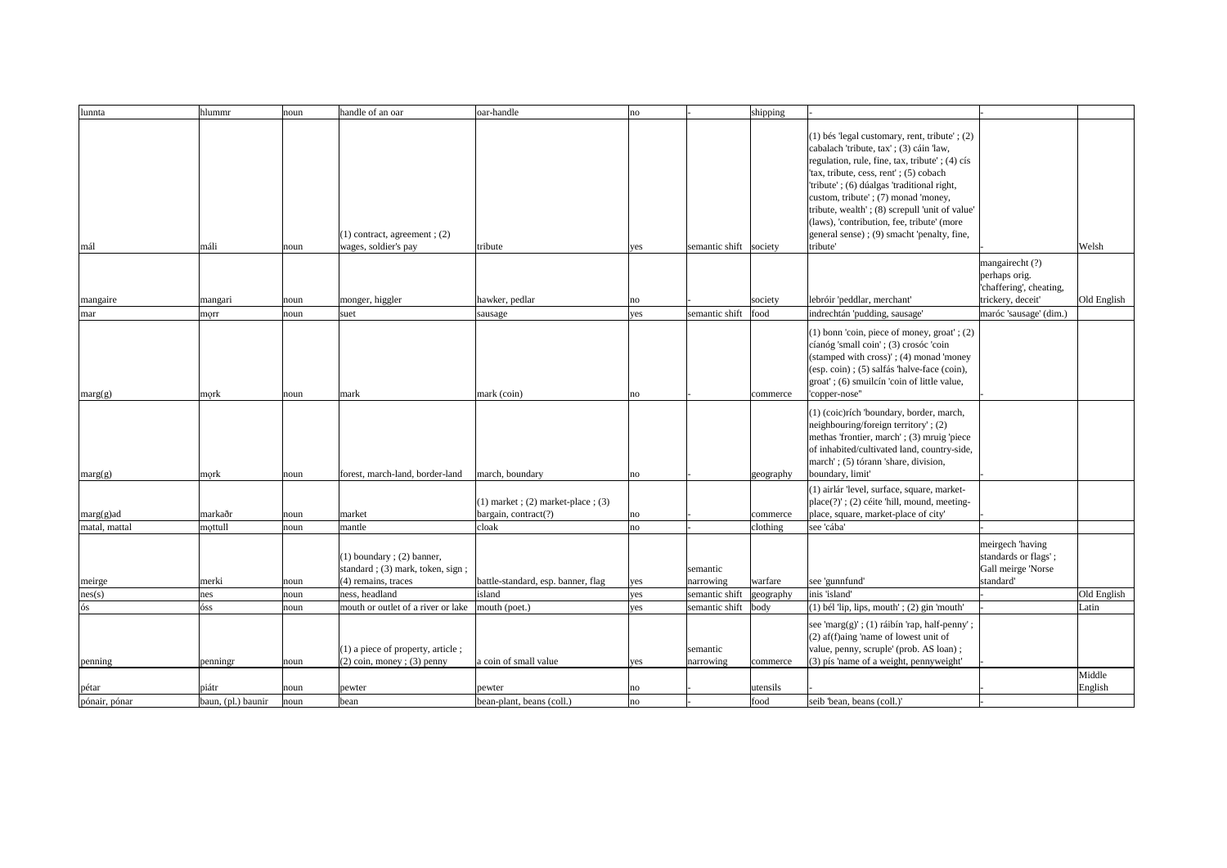| lunnta                 | hlummr                      | noun          | handle of an oar                                                                                            | oar-handle                                                         | no         |                                         | shipping                 |                                                                                                                                                                                                                                                                                                                                                                                                                                          |                                                                                  |             |
|------------------------|-----------------------------|---------------|-------------------------------------------------------------------------------------------------------------|--------------------------------------------------------------------|------------|-----------------------------------------|--------------------------|------------------------------------------------------------------------------------------------------------------------------------------------------------------------------------------------------------------------------------------------------------------------------------------------------------------------------------------------------------------------------------------------------------------------------------------|----------------------------------------------------------------------------------|-------------|
| mál                    | máli                        | noun          | $(1)$ contract, agreement; $(2)$<br>wages, soldier's pay                                                    | tribute                                                            | yes        | semantic shift society                  |                          | $(1)$ bés 'legal customary, rent, tribute'; $(2)$<br>cabalach 'tribute, tax' ; (3) cáin 'law,<br>regulation, rule, fine, tax, tribute'; (4) cís<br>'tax, tribute, cess, rent'; (5) cobach<br>'tribute'; (6) dúalgas 'traditional right,<br>custom, tribute'; (7) monad 'money,<br>tribute, wealth'; (8) screpull 'unit of value'<br>(laws), 'contribution, fee, tribute' (more<br>general sense); (9) smacht 'penalty, fine,<br>tribute' |                                                                                  | Welsh       |
| mangaire               | mangari                     | noun          | monger, higgler                                                                                             | hawker, pedlar                                                     | no         |                                         | society                  | lebróir 'peddlar, merchant'                                                                                                                                                                                                                                                                                                                                                                                                              | mangairecht (?)<br>perhaps orig.<br>'chaffering', cheating,<br>trickery, deceit' | Old English |
| mar                    | morr                        | noun          | suet                                                                                                        | sausage                                                            | yes        | semantic shift                          | food                     | indrechtán 'pudding, sausage'                                                                                                                                                                                                                                                                                                                                                                                                            | maróc 'sausage' (dim.)                                                           |             |
| $\text{marg}(g)$       | $ m$ ork                    | noun          | mark                                                                                                        | mark (coin)                                                        | no         |                                         | commerce                 | (1) bonn 'coin, piece of money, groat'; (2)<br>cíanóg 'small coin'; (3) crosóc 'coin<br>(stamped with cross)'; (4) monad 'money<br>(esp. coin); (5) salfás 'halve-face (coin),<br>groat'; (6) smuilcín 'coin of little value,<br>'copper-nose"                                                                                                                                                                                           |                                                                                  |             |
| marg(g)                | $ m$ ork                    | noun          | forest, march-land, border-land                                                                             | march, boundary                                                    | no         |                                         | geography                | (1) (coic)rích 'boundary, border, march,<br>neighbouring/foreign territory'; (2)<br>methas 'frontier, march'; (3) mruig 'piece<br>of inhabited/cultivated land, country-side,<br>march'; (5) tórann 'share, division,<br>boundary, limit'                                                                                                                                                                                                |                                                                                  |             |
| $marg(g)$ ad           | markaðr                     | noun          | market                                                                                                      | $(1)$ market; $(2)$ market-place; $(3)$<br>bargain, contract $(?)$ | no         |                                         | commerce                 | (1) airlár 'level, surface, square, market-<br>$place(?)'$ ; (2) céite 'hill, mound, meeting-<br>place, square, market-place of city'                                                                                                                                                                                                                                                                                                    |                                                                                  |             |
| matal, mattal          | mottull                     | noun          | mantle                                                                                                      | cloak                                                              | no         |                                         | clothing                 | see 'cába'                                                                                                                                                                                                                                                                                                                                                                                                                               |                                                                                  |             |
| meirge                 | merki                       | noun          | $(1)$ boundary; $(2)$ banner,<br>standard; (3) mark, token, sign;<br>$(4)$ remains, traces                  | battle-standard, esp. banner, flag                                 | yes        | semantic<br>narrowing                   | warfare                  | see 'gunnfund'                                                                                                                                                                                                                                                                                                                                                                                                                           | meirgech 'having<br>standards or flags';<br>Gall meirge 'Norse<br>standard'      |             |
| nes(s)                 | nes                         | noun          | ness, headland                                                                                              | island                                                             | yes        | semantic shift                          | geography                | inis 'island'                                                                                                                                                                                                                                                                                                                                                                                                                            |                                                                                  | Old English |
| ós<br>penning          | óss<br>penningr             | noun<br>noun  | mouth or outlet of a river or lake<br>$(1)$ a piece of property, article;<br>$(2)$ coin, money; $(3)$ penny | mouth (poet.)<br>a coin of small value                             | yes<br>yes | semantic shift<br>semantic<br>narrowing | $\vert$ body<br>commerce | $(1)$ bél 'lip, lips, mouth'; $(2)$ gin 'mouth'<br>see 'marg(g)'; (1) ráibín 'rap, half-penny';<br>(2) af(f)aing 'name of lowest unit of<br>value, penny, scruple' (prob. AS loan);<br>(3) pís 'name of a weight, pennyweight'                                                                                                                                                                                                           |                                                                                  | Latin       |
|                        |                             |               |                                                                                                             |                                                                    |            |                                         |                          |                                                                                                                                                                                                                                                                                                                                                                                                                                          |                                                                                  | Middle      |
| pétar<br>pónair, pónar | piátr<br>baun, (pl.) baunir | noun<br> noun | pewter<br>bean                                                                                              | pewter<br>bean-plant, beans (coll.)                                | no <br> no |                                         | utensils<br>food         | seib 'bean, beans (coll.)'                                                                                                                                                                                                                                                                                                                                                                                                               |                                                                                  | English     |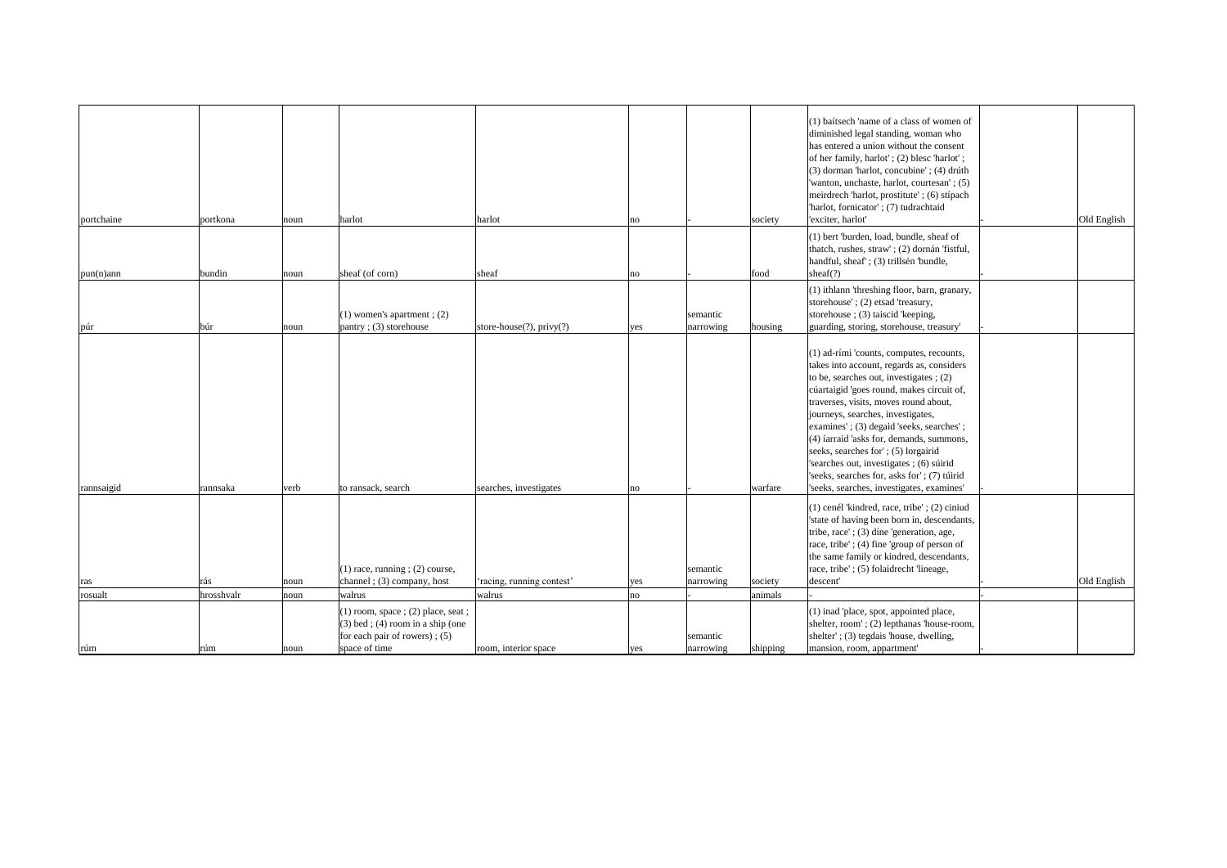| portchaine     | portkona          | noun         | harlot                                                                                                                                      | harlot                          | no         |                       | society             | (1) baitsech 'name of a class of women of<br>diminished legal standing, woman who<br>has entered a union without the consent<br>of her family, harlot'; (2) bless 'harlot';<br>(3) dorman 'harlot, concubine'; (4) drúth<br>'wanton, unchaste, harlot, courtesan'; (5)<br>meirdrech 'harlot, prostitute' ; (6) stípach<br>'harlot, fornicator'; (7) tudrachtaid<br>'exciter, harlot'<br>(1) bert 'burden, load, bundle, sheaf of<br>thatch, rushes, straw'; (2) dornán 'fistful,                                                  | Old English |
|----------------|-------------------|--------------|---------------------------------------------------------------------------------------------------------------------------------------------|---------------------------------|------------|-----------------------|---------------------|-----------------------------------------------------------------------------------------------------------------------------------------------------------------------------------------------------------------------------------------------------------------------------------------------------------------------------------------------------------------------------------------------------------------------------------------------------------------------------------------------------------------------------------|-------------|
|                |                   |              |                                                                                                                                             |                                 |            |                       |                     | handful, sheaf'; (3) trillsén 'bundle,                                                                                                                                                                                                                                                                                                                                                                                                                                                                                            |             |
| $pun(n)$ ann   | bundin            | noun         | sheaf (of corn)                                                                                                                             | sheaf                           | no         |                       | food                | sheaf $(?)$                                                                                                                                                                                                                                                                                                                                                                                                                                                                                                                       |             |
| púr            | búr               | noun         | $(1)$ women's apartment; $(2)$<br>pantry; (3) storehouse                                                                                    | store-house $(?)$ , privy $(?)$ | yes        | semantic<br>narrowing | housing             | (1) ithlann 'threshing floor, barn, granary,<br>storehouse'; (2) etsad 'treasury,<br>storehouse; (3) taiscid 'keeping,<br>guarding, storing, storehouse, treasury'                                                                                                                                                                                                                                                                                                                                                                |             |
| rannsaigid     | rannsaka          | verb         | to ransack, search                                                                                                                          | searches, investigates          | no         |                       | warfare             | (1) ad-rími 'counts, computes, recounts,<br>takes into account, regards as, considers<br>to be, searches out, investigates $(2)$<br>cúartaigid 'goes round, makes circuit of,<br>traverses, visits, moves round about,<br>journeys, searches, investigates,<br>examines'; (3) degaid 'seeks, searches';<br>(4) farraid 'asks for, demands, summons,<br>seeks, searches for'; (5) lorgairid<br>'searches out, investigates; (6) súirid<br>'seeks, searches for, asks for'; (7) túirid<br>'seeks, searches, investigates, examines' |             |
|                |                   |              | $(1)$ race, running ; $(2)$ course,                                                                                                         |                                 |            | semantic              |                     | $(1)$ cenél 'kindred, race, tribe'; $(2)$ ciniud<br>'state of having been born in, descendants,<br>tribe, race'; (3) díne 'generation, age,<br>race, tribe'; (4) fine 'group of person of<br>the same family or kindred, descendants,<br>race, tribe'; (5) folaidrecht 'lineage,                                                                                                                                                                                                                                                  |             |
| ras            | rás               | noun         | channel; (3) company, host                                                                                                                  | 'racing, running contest'       | yes        | narrowing             | society             | descent'                                                                                                                                                                                                                                                                                                                                                                                                                                                                                                                          | Old English |
| rosualt<br>rúm | hrosshvalr<br>rúm | noun<br>noun | walrus<br>$(1)$ room, space; $(2)$ place, seat;<br>$(3)$ bed; $(4)$ room in a ship (one<br>for each pair of rowers); $(5)$<br>space of time | walrus<br>room, interior space  | no <br>yes | semantic<br>narrowing | animals<br>shipping | (1) inad 'place, spot, appointed place,<br>shelter, room'; (2) lepthanas 'house-room,<br>shelter'; (3) tegdais 'house, dwelling,<br>mansion, room, appartment'                                                                                                                                                                                                                                                                                                                                                                    |             |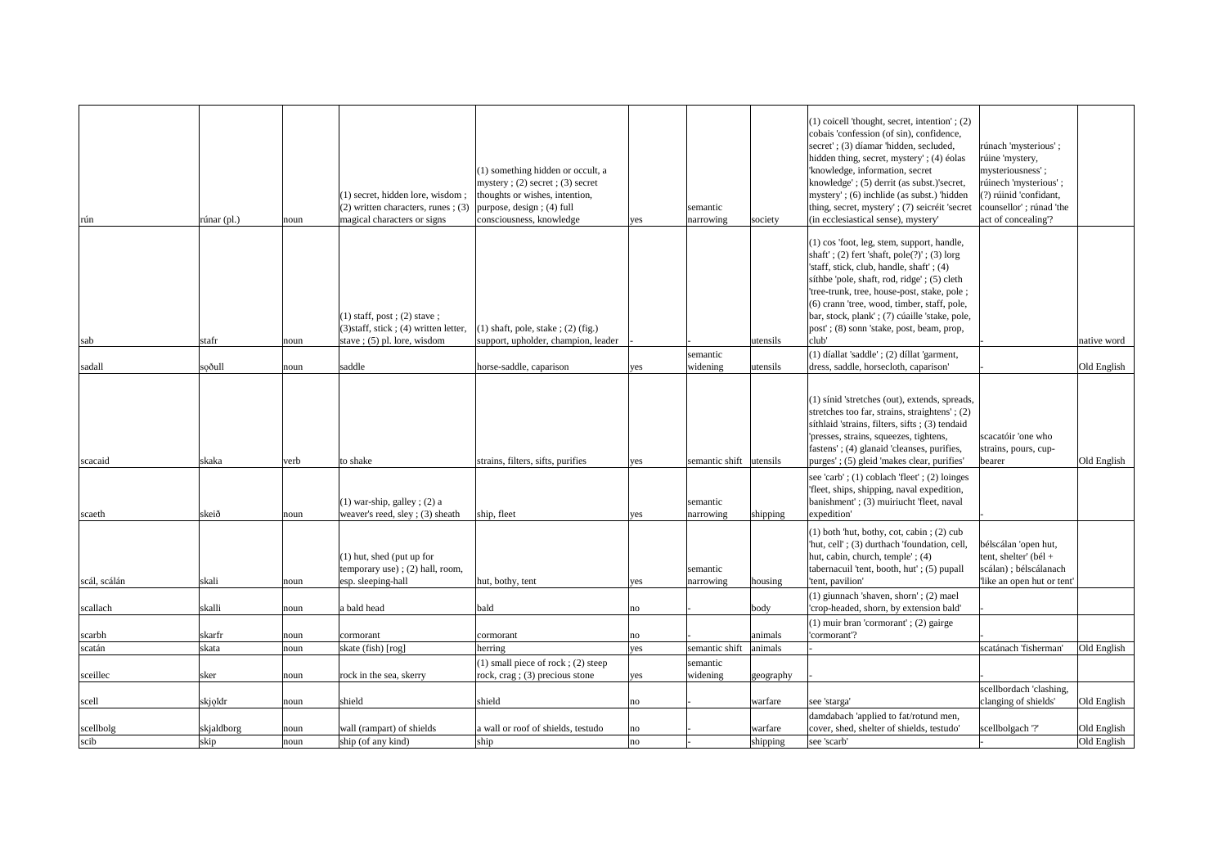| rún          | $runar$ (pl.) | noun | $(1)$ secret, hidden lore, wisdom;<br>$(2)$ written characters, runes; (3)<br>magical characters or signs   | (1) something hidden or occult, a<br>mystery; $(2)$ secret; $(3)$ secret<br>thoughts or wishes, intention,<br>purpose, design; (4) full<br>consciousness, knowledge | yes | semantic<br>narrowing               | society      | $(1)$ coicell 'thought, secret, intention'; $(2)$<br>cobais 'confession (of sin), confidence,<br>secret'; (3) díamar 'hidden, secluded,<br>hidden thing, secret, mystery'; (4) éolas<br>'knowledge, information, secret<br>knowledge'; (5) derrit (as subst.)'secret,<br>mystery'; (6) inchlide (as subst.) 'hidden<br>thing, secret, mystery'; (7) seicréit 'secret<br>(in ecclesiastical sense), mystery'                          | rúnach 'mysterious';<br>rúine 'mystery,<br>mysteriousness';<br>rúinech 'mysterious';<br>$(?)$ rúinid 'confidant,<br>counsellor'; rúnad 'the<br>act of concealing? |             |
|--------------|---------------|------|-------------------------------------------------------------------------------------------------------------|---------------------------------------------------------------------------------------------------------------------------------------------------------------------|-----|-------------------------------------|--------------|--------------------------------------------------------------------------------------------------------------------------------------------------------------------------------------------------------------------------------------------------------------------------------------------------------------------------------------------------------------------------------------------------------------------------------------|-------------------------------------------------------------------------------------------------------------------------------------------------------------------|-------------|
| sab          | stafr         | noun | $(1)$ staff, post; $(2)$ stave;<br>$(3)$ staff, stick; (4) written letter,<br>stave; $(5)$ pl. lore, wisdom | $(1)$ shaft, pole, stake; $(2)$ (fig.)<br>support, upholder, champion, leader                                                                                       |     |                                     | utensils     | (1) cos 'foot, leg, stem, support, handle,<br>$\vert$ shaft'; (2) fert 'shaft, pole(?)'; (3) lorg<br>'staff, stick, club, handle, shaft'; (4)<br>síthbe 'pole, shaft, rod, ridge'; (5) cleth<br>'tree-trunk, tree, house-post, stake, pole ;<br>(6) crann 'tree, wood, timber, staff, pole,<br>bar, stock, plank'; (7) cúaille 'stake, pole,<br>post'; (8) sonn 'stake, post, beam, prop,<br>club'                                   |                                                                                                                                                                   | native word |
|              |               |      |                                                                                                             |                                                                                                                                                                     |     | semantic                            |              | $(1)$ díallat 'saddle'; $(2)$ díllat 'garment,                                                                                                                                                                                                                                                                                                                                                                                       |                                                                                                                                                                   |             |
| sadall       | soðull        | noun | saddle                                                                                                      | horse-saddle, caparison                                                                                                                                             | yes | widening                            | lutensils    | dress, saddle, horsecloth, caparison'                                                                                                                                                                                                                                                                                                                                                                                                |                                                                                                                                                                   | Old English |
| scacaid      | skaka         | verb | to shake<br>$(1)$ war-ship, galley; (2) a                                                                   | strains, filters, sifts, purifies                                                                                                                                   | yes | semantic shift utensils<br>semantic |              | (1) sinid 'stretches (out), extends, spreads,<br>stretches too far, strains, straightens'; (2)<br>síthlaid 'strains, filters, sifts; (3) tendaid<br>'presses, strains, squeezes, tightens,<br>fastens'; (4) glanaid 'cleanses, purifies,<br>purges'; (5) gleid 'makes clear, purifies'<br>see 'carb'; $(1)$ coblach 'fleet'; $(2)$ loinges<br>'fleet, ships, shipping, naval expedition,<br>banishment'; (3) muiriucht 'fleet, naval | scacatóir 'one who<br>strains, pours, cup-<br>bearer                                                                                                              | Old English |
| scaeth       | skeið         | noun | weaver's reed, sley; (3) sheath                                                                             | ship, fleet                                                                                                                                                         | yes | narrowing                           | shipping     | expedition'                                                                                                                                                                                                                                                                                                                                                                                                                          |                                                                                                                                                                   |             |
| scál, scálán | skali         | noun | $(1)$ hut, shed (put up for<br>temporary use); $(2)$ hall, room,<br>esp. sleeping-hall                      | hut, bothy, tent                                                                                                                                                    | yes | semantic<br>narrowing               | housing      | $(1)$ both 'hut, bothy, cot, cabin ; $(2)$ cub<br>'hut, cell'; (3) durthach 'foundation, cell,<br>hut, cabin, church, temple'; (4)<br>tabernacuil 'tent, booth, hut'; (5) pupall<br>'tent, pavilion'                                                                                                                                                                                                                                 | bélscálan 'open hut,<br>tent, shelter' (bél +<br>scálan); bélscálanach<br>like an open hut or tent'                                                               |             |
| scallach     | skalli        | noun | a bald head                                                                                                 | bald                                                                                                                                                                | no  |                                     | $\vert$ body | $(1)$ giunnach 'shaven, shorn'; $(2)$ mael<br>'crop-headed, shorn, by extension bald'<br>$(1)$ muir bran 'cormorant'; $(2)$ gairge                                                                                                                                                                                                                                                                                                   |                                                                                                                                                                   |             |
| scarbh       | skarfr        | noun | cormorant                                                                                                   | cormorant                                                                                                                                                           | no  |                                     | animals      | 'cormorant'?                                                                                                                                                                                                                                                                                                                                                                                                                         |                                                                                                                                                                   |             |
| scatán       | skata         | noun | skate (fish) [rog]                                                                                          | herring                                                                                                                                                             | yes | semantic shift                      | animals      |                                                                                                                                                                                                                                                                                                                                                                                                                                      | scatánach 'fisherman'                                                                                                                                             | Old English |
|              |               |      |                                                                                                             | $(1)$ small piece of rock; $(2)$ steep                                                                                                                              |     | semantic                            |              |                                                                                                                                                                                                                                                                                                                                                                                                                                      |                                                                                                                                                                   |             |
| sceillec     | sker          | noun | rock in the sea, skerry                                                                                     | rock, $crag$ ; (3) precious stone                                                                                                                                   | yes | widening                            | geography    |                                                                                                                                                                                                                                                                                                                                                                                                                                      |                                                                                                                                                                   |             |
|              |               |      |                                                                                                             |                                                                                                                                                                     |     |                                     |              |                                                                                                                                                                                                                                                                                                                                                                                                                                      | scellbordach 'clashing,                                                                                                                                           |             |
| scell        | skjoldr       | noun | shield                                                                                                      | shield                                                                                                                                                              | no  |                                     | warfare      | see 'starga'                                                                                                                                                                                                                                                                                                                                                                                                                         | clanging of shields'                                                                                                                                              | Old English |
|              |               |      |                                                                                                             |                                                                                                                                                                     |     |                                     |              | damdabach 'applied to fat/rotund men,                                                                                                                                                                                                                                                                                                                                                                                                |                                                                                                                                                                   |             |
| scellbolg    | skjaldborg    | noun | wall (rampart) of shields                                                                                   | a wall or roof of shields, testudo                                                                                                                                  | no  |                                     | warfare      | cover, shed, shelter of shields, testudo'                                                                                                                                                                                                                                                                                                                                                                                            | scellbolgach '?'                                                                                                                                                  | Old English |
| scib         | skip          | noun | ship (of any kind)                                                                                          | ship                                                                                                                                                                | no  |                                     | shipping     | see 'scarb'                                                                                                                                                                                                                                                                                                                                                                                                                          |                                                                                                                                                                   | Old English |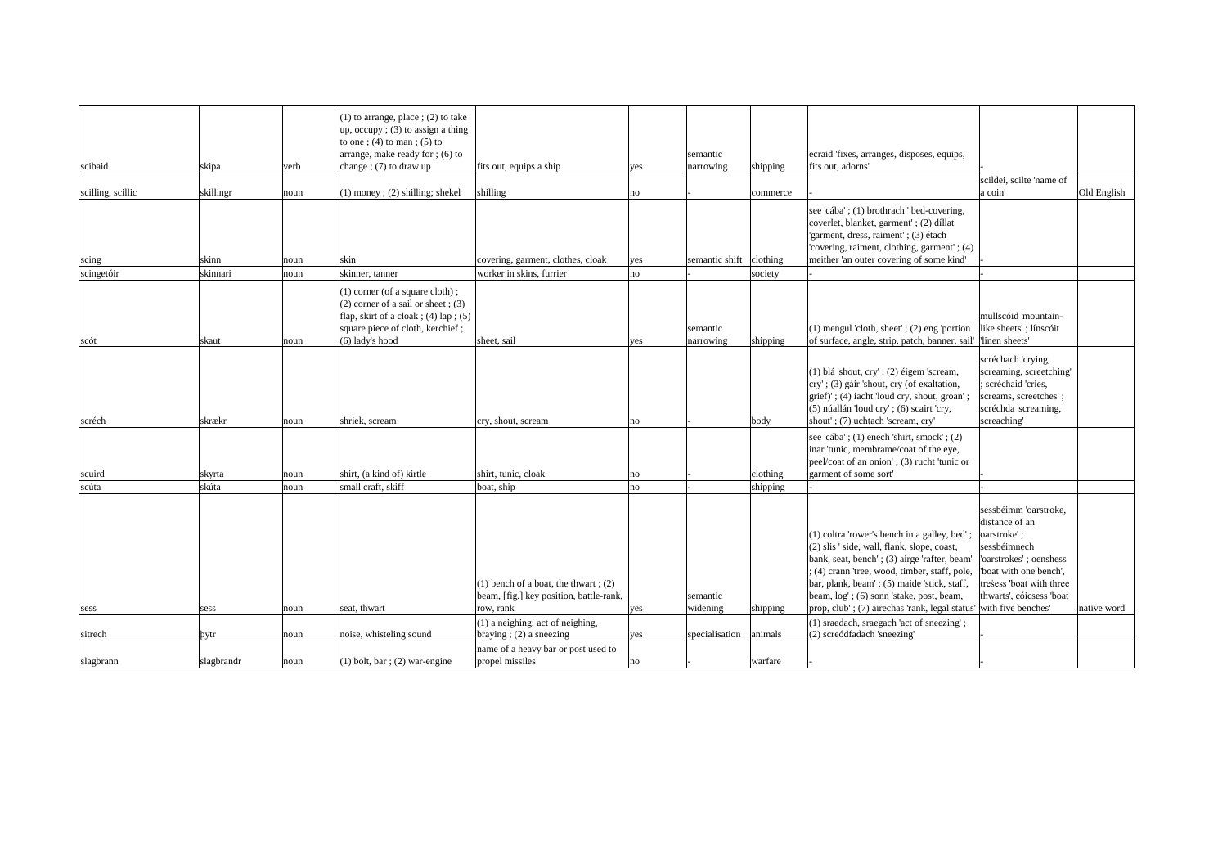| scibaid           | skipa      | verb | $(1)$ to arrange, place ; $(2)$ to take<br>up, occupy ; $(3)$ to assign a thing<br>to one; $(4)$ to man; $(5)$ to<br>arrange, make ready for $(6)$ to<br>change; $(7)$ to draw up | fits out, equips a ship                                                             | yes | semantic<br>narrowing   | shipping     | ecraid 'fixes, arranges, disposes, equips,<br>fits out, adorns'                                                                                                                                                                                                                        |                                                                                                                                                                                   |             |
|-------------------|------------|------|-----------------------------------------------------------------------------------------------------------------------------------------------------------------------------------|-------------------------------------------------------------------------------------|-----|-------------------------|--------------|----------------------------------------------------------------------------------------------------------------------------------------------------------------------------------------------------------------------------------------------------------------------------------------|-----------------------------------------------------------------------------------------------------------------------------------------------------------------------------------|-------------|
|                   |            |      |                                                                                                                                                                                   |                                                                                     |     |                         |              |                                                                                                                                                                                                                                                                                        | scildei, scilte 'name of                                                                                                                                                          |             |
| scilling, scillic | skillingr  | noun | $(1)$ money; (2) shilling; shekel                                                                                                                                                 | shilling                                                                            | no  |                         | commerce     | see 'cába'; (1) brothrach ' bed-covering,<br>coverlet, blanket, garment'; (2) díllat<br>'garment, dress, raiment'; (3) étach<br>'covering, raiment, clothing, garment'; (4)                                                                                                            | a coin'                                                                                                                                                                           | Old English |
| scing             | skinn      | noun | skin                                                                                                                                                                              | covering, garment, clothes, cloak                                                   | yes | semantic shift clothing |              | meither 'an outer covering of some kind'                                                                                                                                                                                                                                               |                                                                                                                                                                                   |             |
| scingetóir        | skinnari   | noun | skinner, tanner<br>$(1)$ corner (of a square cloth);<br>$(2)$ corner of a sail or sheet; $(3)$<br>flap, skirt of a cloak; $(4)$ lap; $(5)$<br>square piece of cloth, kerchief;    | worker in skins, furrier                                                            | no  | semantic                | society      | $(1)$ mengul 'cloth, sheet'; $(2)$ eng 'portion                                                                                                                                                                                                                                        | mullscóid 'mountain-<br>like sheets'; línscóit                                                                                                                                    |             |
| scót              | skaut      | noun | $(6)$ lady's hood                                                                                                                                                                 | sheet, sail                                                                         | yes | narrowing               | shipping     | of surface, angle, strip, patch, banner, sail' linen sheets'                                                                                                                                                                                                                           |                                                                                                                                                                                   |             |
| scréch            | skrækr     | noun | shriek, scream                                                                                                                                                                    | cry, shout, scream                                                                  | no  |                         | $\vert$ body | (1) blá 'shout, cry'; (2) éigem 'scream,<br>cry'; (3) gáir 'shout, cry (of exaltation,<br>grief)'; (4) facht 'loud cry, shout, groan'<br>(5) núallán 'loud cry'; (6) scairt 'cry,<br>shout'; (7) uchtach 'scream, cry'                                                                 | scréchach 'crying,<br>screaming, screetching'<br>; scréchaid 'cries,<br>screams, screetches';<br>scréchda 'screaming,<br>screaching'                                              |             |
| scuird            | skyrta     | noun | shirt, (a kind of) kirtle                                                                                                                                                         | shirt, tunic, cloak                                                                 | no  |                         | clothing     | see 'cába'; (1) enech 'shirt, smock'; (2)<br>inar 'tunic, membrame/coat of the eye,<br>peel/coat of an onion'; (3) rucht 'tunic or<br>garment of some sort'                                                                                                                            |                                                                                                                                                                                   |             |
| scúta             | skúta      | noun | small craft, skiff                                                                                                                                                                | boat, ship                                                                          | no  |                         | shipping     |                                                                                                                                                                                                                                                                                        |                                                                                                                                                                                   |             |
|                   |            |      |                                                                                                                                                                                   | $(1)$ bench of a boat, the thwart; $(2)$<br>beam, [fig.] key position, battle-rank, |     | semantic                |              | (1) coltra 'rower's bench in a galley, bed'<br>(2) slis ' side, wall, flank, slope, coast,<br>bank, seat, bench'; (3) airge 'rafter, beam'<br>; (4) crann 'tree, wood, timber, staff, pole,<br>bar, plank, beam'; (5) maide 'stick, staff,<br>beam, log'; (6) sonn 'stake, post, beam, | sessbéimm 'oarstroke,<br>distance of an<br>oarstroke';<br>sessbéimnech<br>'oarstrokes'; oenshess<br>boat with one bench',<br>tresess 'boat with three<br>thwarts', cóicsess 'boat |             |
| sess              | sess       | noun | seat, thwart                                                                                                                                                                      | row, rank                                                                           | yes | widening                | shipping     | prop, club'; (7) airechas 'rank, legal status' with five benches'                                                                                                                                                                                                                      |                                                                                                                                                                                   | native word |
| sitrech           | þytr       | noun | noise, whisteling sound                                                                                                                                                           | (1) a neighing; act of neighing,<br>braying; $(2)$ a sneezing                       | yes | specialisation          | animals      | (1) sraedach, sraegach 'act of sneezing';<br>(2) screódfadach 'sneezing'                                                                                                                                                                                                               |                                                                                                                                                                                   |             |
|                   |            |      |                                                                                                                                                                                   | name of a heavy bar or post used to                                                 |     |                         |              |                                                                                                                                                                                                                                                                                        |                                                                                                                                                                                   |             |
| slagbrann         | slagbrandr | noun | $(1)$ bolt, bar ; (2) war-engine                                                                                                                                                  | propel missiles                                                                     | no  |                         | warfare      |                                                                                                                                                                                                                                                                                        |                                                                                                                                                                                   |             |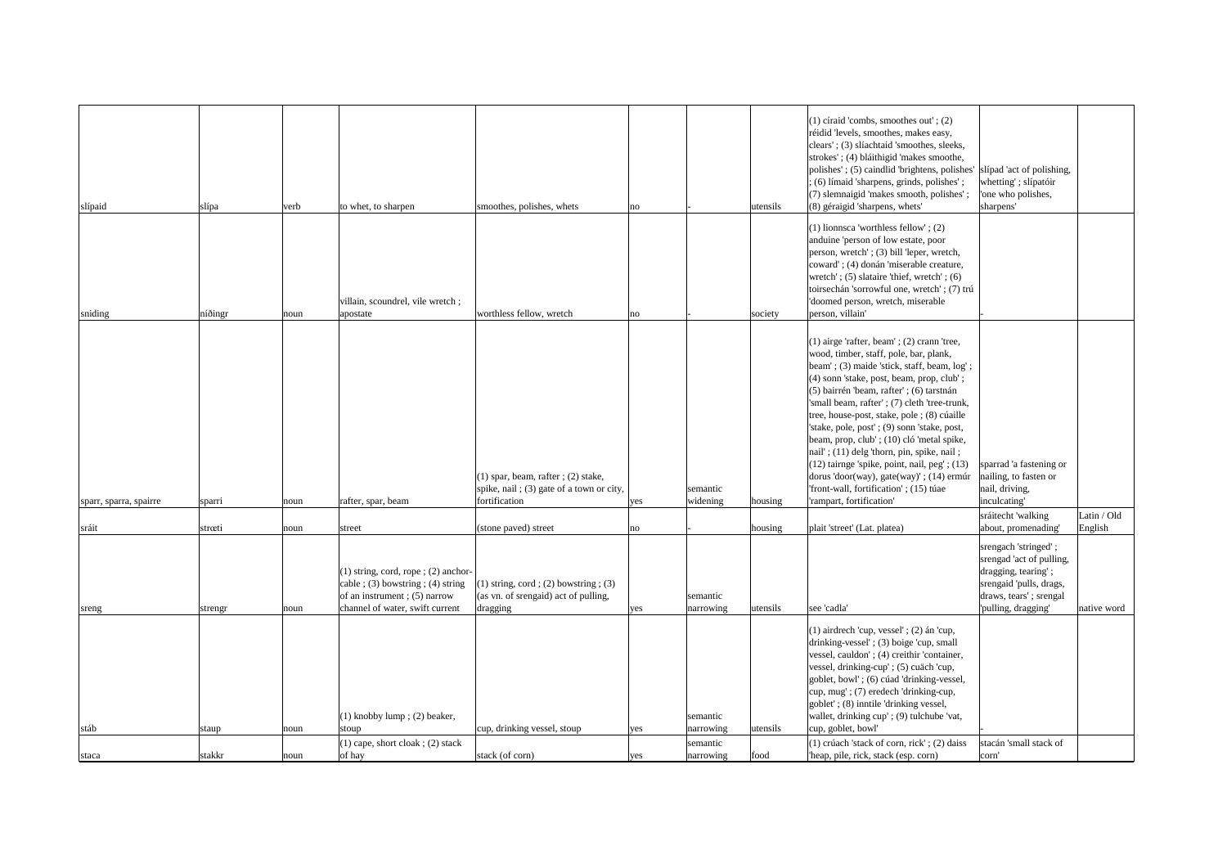| slípaid                | slípa   | verb | to whet, to sharpen                                                                                                       | smoothes, polishes, whets                                                                                  | no  |                       | utensils  | $(1)$ círaid 'combs, smoothes out'; $(2)$<br>réidid 'levels, smoothes, makes easy,<br>clears'; (3) slíachtaid 'smoothes, sleeks,<br>strokes'; (4) bláithigid 'makes smoothe,<br>polishes'; (5) caindlid 'brightens, polishes'  slípad 'act of polishing,<br>; (6) límaid 'sharpens, grinds, polishes';<br>(7) slemnaigid 'makes smooth, polishes';<br>(8) géraigid 'sharpens, whets'                                                                                                                                                                                                                                                            | whetting'; slípatóir<br>one who polishes,<br>sharpens'                                                                                              |             |
|------------------------|---------|------|---------------------------------------------------------------------------------------------------------------------------|------------------------------------------------------------------------------------------------------------|-----|-----------------------|-----------|-------------------------------------------------------------------------------------------------------------------------------------------------------------------------------------------------------------------------------------------------------------------------------------------------------------------------------------------------------------------------------------------------------------------------------------------------------------------------------------------------------------------------------------------------------------------------------------------------------------------------------------------------|-----------------------------------------------------------------------------------------------------------------------------------------------------|-------------|
|                        |         |      |                                                                                                                           |                                                                                                            |     |                       |           |                                                                                                                                                                                                                                                                                                                                                                                                                                                                                                                                                                                                                                                 |                                                                                                                                                     |             |
| sniding                | níðingr | noun | villain, scoundrel, vile wretch;<br>apostate                                                                              | worthless fellow, wretch                                                                                   | no  |                       | society   | $(1)$ lionnsca 'worthless fellow'; $(2)$<br>anduine 'person of low estate, poor<br>person, wretch'; (3) bill 'leper, wretch,<br>coward'; (4) donán 'miserable creature,<br>wretch'; $(5)$ slataire 'thief, wretch'; $(6)$<br>toirsechán 'sorrowful one, wretch'; (7) trú<br>'doomed person, wretch, miserable<br>person, villain'                                                                                                                                                                                                                                                                                                               |                                                                                                                                                     |             |
| sparr, sparra, spairre | sparri  | noun | rafter, spar, beam                                                                                                        | $(1)$ spar, beam, rafter; $(2)$ stake,<br>spike, nail; (3) gate of a town or city,<br>fortification        | yes | semantic<br>widening  | housing   | $(1)$ airge 'rafter, beam'; $(2)$ crann 'tree,<br>wood, timber, staff, pole, bar, plank,<br>beam'; (3) maide 'stick, staff, beam, log';<br>(4) sonn 'stake, post, beam, prop, club';<br>(5) bairrén 'beam, rafter'; (6) tarstnán<br>'small beam, rafter'; (7) cleth 'tree-trunk,<br>tree, house-post, stake, pole ; (8) cúaille<br>'stake, pole, post'; (9) sonn 'stake, post,<br>beam, prop, club'; (10) cló 'metal spike,<br>nail'; (11) delg 'thorn, pin, spike, nail;<br>$(12)$ tairnge 'spike, point, nail, peg'; $(13)$<br>dorus 'door(way), gate(way)'; (14) ermúr<br>'front-wall, fortification'; (15) túae<br>'rampart, fortification' | sparrad 'a fastening or<br>nailing, to fasten or<br>nail, driving,<br>inculcating'                                                                  |             |
|                        |         |      |                                                                                                                           |                                                                                                            |     |                       |           |                                                                                                                                                                                                                                                                                                                                                                                                                                                                                                                                                                                                                                                 | sráitecht 'walking                                                                                                                                  | Latin / Old |
| sráit                  | strœti  | noun | street<br>$(1)$ string, cord, rope; $(2)$ anchor-<br>cable ; (3) bowstring ; (4) string<br>of an instrument; $(5)$ narrow | (stone paved) street<br>$(1)$ string, cord; $(2)$ bowstring; $(3)$<br>(as vn. of srengaid) act of pulling, | no  | semantic              | housing   | plait 'street' (Lat. platea)                                                                                                                                                                                                                                                                                                                                                                                                                                                                                                                                                                                                                    | about, promenading'<br>srengach 'stringed';<br>srengad 'act of pulling,<br>dragging, tearing';<br>srengaid 'pulls, drags,<br>draws, tears'; srengal | English     |
| sreng                  | strengr | noun | channel of water, swift current<br>$(1)$ knobby lump; $(2)$ beaker,                                                       | dragging                                                                                                   | yes | narrowing<br>semantic | utensils  | see 'cadla'<br>$(1)$ airdrech 'cup, vessel'; $(2)$ án 'cup,<br>drinking-vessel'; (3) boige 'cup, small<br>vessel, cauldon'; (4) creithir 'container,<br>vessel, drinking-cup'; (5) cuäch 'cup,<br>goblet, bowl'; (6) cúad 'drinking-vessel,<br>cup, mug'; (7) eredech 'drinking-cup,<br>goblet'; (8) inntile 'drinking vessel,<br>wallet, drinking cup'; (9) tulchube 'vat,                                                                                                                                                                                                                                                                     | 'pulling, dragging'                                                                                                                                 | native word |
| stáb                   | staup   | noun | stoup                                                                                                                     | cup, drinking vessel, stoup                                                                                | yes | narrowing             | lutensils | cup, goblet, bowl'                                                                                                                                                                                                                                                                                                                                                                                                                                                                                                                                                                                                                              |                                                                                                                                                     |             |
| staca                  | stakkr  | noun | $(1)$ cape, short cloak; $(2)$ stack<br>of hay                                                                            | stack (of corn)                                                                                            | yes | semantic<br>narrowing | food      | $(1)$ crúach 'stack of corn, rick'; $(2)$ daiss<br>heap, pile, rick, stack (esp. corn)                                                                                                                                                                                                                                                                                                                                                                                                                                                                                                                                                          | stacán 'small stack of<br>corn'                                                                                                                     |             |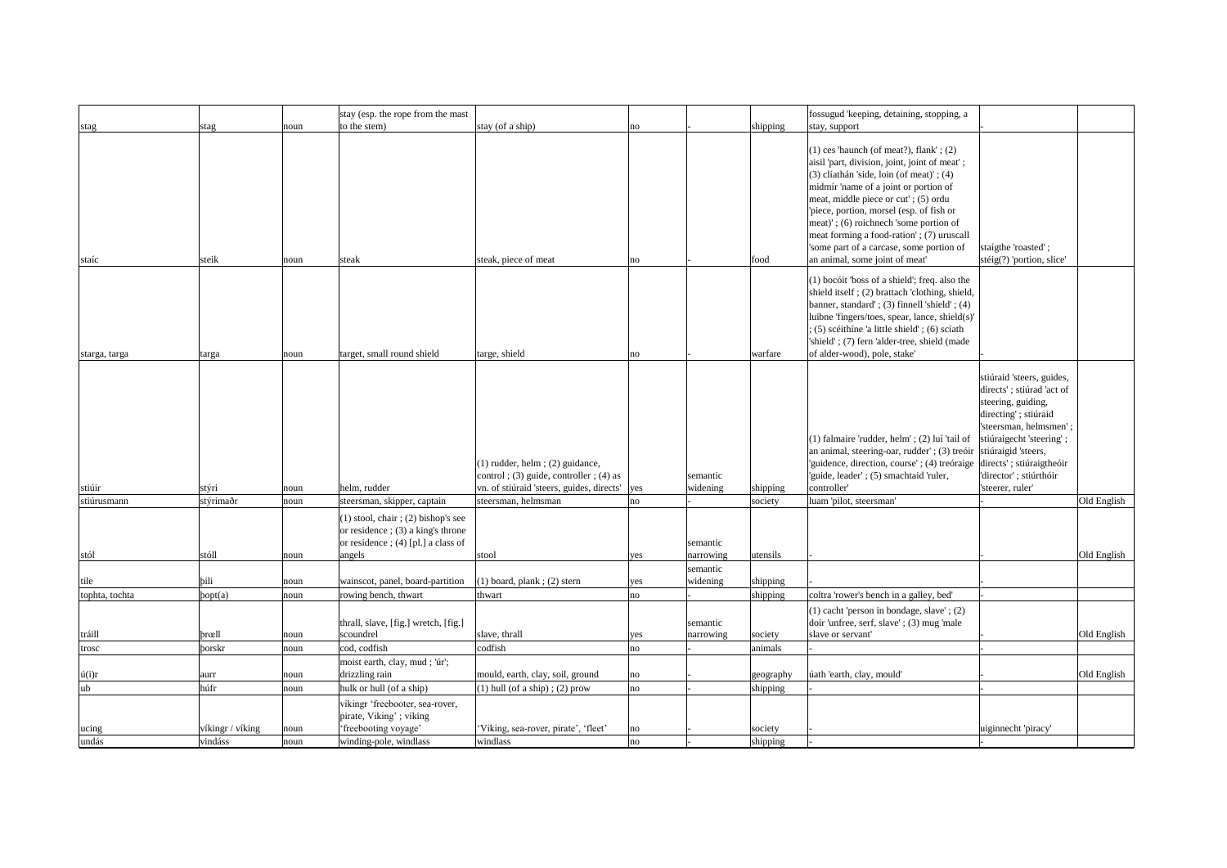|                 |                  |      | stay (esp. the rope from the mast                                                                                                |                                                                                                                                |                 |                                   |           | fossugud 'keeping, detaining, stopping, a                                                                                                                                                                                                                                                                                                                                                                                                      |                                                                                                                                                                                                         |             |
|-----------------|------------------|------|----------------------------------------------------------------------------------------------------------------------------------|--------------------------------------------------------------------------------------------------------------------------------|-----------------|-----------------------------------|-----------|------------------------------------------------------------------------------------------------------------------------------------------------------------------------------------------------------------------------------------------------------------------------------------------------------------------------------------------------------------------------------------------------------------------------------------------------|---------------------------------------------------------------------------------------------------------------------------------------------------------------------------------------------------------|-------------|
| stag            | stag             | noun | to the stem)                                                                                                                     | stay (of a ship)                                                                                                               | no              |                                   | shipping  | stay, support                                                                                                                                                                                                                                                                                                                                                                                                                                  |                                                                                                                                                                                                         |             |
| staíc           | steik            | noun | steak                                                                                                                            | steak, piece of meat                                                                                                           | $\overline{no}$ |                                   | food      | $(1)$ ces 'haunch (of meat?), flank'; $(2)$<br>aisil 'part, division, joint, joint of meat';<br>$(3)$ clíathán 'side, loin (of meat)'; $(4)$<br>midmír 'name of a joint or portion of<br>meat, middle piece or cut'; (5) ordu<br>'piece, portion, morsel (esp. of fish or<br>meat)'; (6) roichnech 'some portion of<br>meat forming a food-ration'; (7) uruscall<br>'some part of a carcase, some portion of<br>an animal, some joint of meat' | staígthe 'roasted';<br>stéig $(?)$ 'portion, slice'                                                                                                                                                     |             |
|                 |                  |      |                                                                                                                                  |                                                                                                                                |                 |                                   |           |                                                                                                                                                                                                                                                                                                                                                                                                                                                |                                                                                                                                                                                                         |             |
| starga, targa   | targa            | noun | target, small round shield                                                                                                       | targe, shield                                                                                                                  | no              |                                   | warfare   | (1) bocóit 'boss of a shield'; freq. also the<br>shield itself; (2) brattach 'clothing, shield,<br>banner, standard'; (3) finnell 'shield'; (4)<br>luibne 'fingers/toes, spear, lance, shield(s)'<br>; (5) scéithíne 'a little shield'; (6) scíath<br>'shield'; (7) fern 'alder-tree, shield (made<br>of alder-wood), pole, stake'                                                                                                             |                                                                                                                                                                                                         |             |
|                 |                  |      |                                                                                                                                  |                                                                                                                                |                 |                                   |           |                                                                                                                                                                                                                                                                                                                                                                                                                                                |                                                                                                                                                                                                         |             |
| stiúir          | stýri            | noun | helm, rudder                                                                                                                     | $(1)$ rudder, helm; $(2)$ guidance,<br>control; $(3)$ guide, controller; $(4)$ as<br>vn. of stiúraid 'steers, guides, directs' | yes             | semantic<br>widening              | shipping  | (1) falmaire 'rudder, helm'; (2) luí 'tail of<br>an animal, steering-oar, rudder'; (3) treóir stiúraigid 'steers,<br>'guidence, direction, course'; (4) treóraige directs'; stiúraigtheóir<br>'guide, leader'; (5) smachtaid 'ruler,<br>controller'                                                                                                                                                                                            | stiúraid 'steers, guides,<br>directs'; stiúrad 'act of<br>steering, guiding,<br>directing'; stiúraid<br>'steersman, helmsmen';<br>stiúraigecht 'steering';<br>director'; stiúrthóir<br>'steerer, ruler' |             |
| stiúrusmann     | stýrimaðr        | noun | steersman, skipper, captain                                                                                                      | steersman, helmsman                                                                                                            | no              |                                   | society   | luam 'pilot, steersman'                                                                                                                                                                                                                                                                                                                                                                                                                        |                                                                                                                                                                                                         | Old English |
| stól            | stóll            | noun | $(1)$ stool, chair; $(2)$ bishop's see<br>or residence ; $(3)$ a king's throne<br>or residence; $(4)$ [pl.] a class of<br>angels | stool                                                                                                                          | yes             | semantic<br>narrowing<br>semantic | utensils  |                                                                                                                                                                                                                                                                                                                                                                                                                                                |                                                                                                                                                                                                         | Old English |
| tile            | bili             | noun | wainscot, panel, board-partition                                                                                                 | $(1)$ board, plank; $(2)$ stern                                                                                                | yes             | widening                          | shipping  |                                                                                                                                                                                                                                                                                                                                                                                                                                                |                                                                                                                                                                                                         |             |
| tophta, tochta  | $\vert$ popt(a)  | noun | rowing bench, thwart                                                                                                             | thwart                                                                                                                         | no              |                                   | shipping  | coltra 'rower's bench in a galley, bed'                                                                                                                                                                                                                                                                                                                                                                                                        |                                                                                                                                                                                                         |             |
| tráill          | <b>br</b> œll    | noun | thrall, slave, [fig.] wretch, [fig.]<br>scoundrel                                                                                | slave, thrall                                                                                                                  | yes             | semantic<br>narrowing             | society   | $(1)$ cacht 'person in bondage, slave'; $(2)$<br>doir 'unfree, serf, slave'; (3) mug 'male<br>slave or servant'                                                                                                                                                                                                                                                                                                                                |                                                                                                                                                                                                         | Old English |
| trosc           | <b>borskr</b>    | noun | cod, codfish                                                                                                                     | codfish                                                                                                                        | no              |                                   | animals   |                                                                                                                                                                                                                                                                                                                                                                                                                                                |                                                                                                                                                                                                         |             |
| $\acute{u}(i)r$ | aurr             | noun | moist earth, clay, mud ; 'úr';<br>drizzling rain                                                                                 | mould, earth, clay, soil, ground                                                                                               | no              |                                   | geography | úath 'earth, clay, mould'                                                                                                                                                                                                                                                                                                                                                                                                                      |                                                                                                                                                                                                         | Old English |
| ub              | húfr             | noun | hulk or hull (of a ship)                                                                                                         | $(1)$ hull (of a ship); $(2)$ prow                                                                                             | no              |                                   | shipping  |                                                                                                                                                                                                                                                                                                                                                                                                                                                |                                                                                                                                                                                                         |             |
|                 |                  |      | víkingr 'freebooter, sea-rover,<br>pirate, Viking'; víking                                                                       |                                                                                                                                |                 |                                   |           |                                                                                                                                                                                                                                                                                                                                                                                                                                                |                                                                                                                                                                                                         |             |
| ucing           | víkingr / víking | noun | 'freebooting voyage'                                                                                                             | 'Viking, sea-rover, pirate', 'fleet'                                                                                           | no              |                                   | society   |                                                                                                                                                                                                                                                                                                                                                                                                                                                | uiginnecht 'piracy'                                                                                                                                                                                     |             |
| undás           | vindáss          | noun | winding-pole, windlass                                                                                                           | windlass                                                                                                                       | no              |                                   | shipping  |                                                                                                                                                                                                                                                                                                                                                                                                                                                |                                                                                                                                                                                                         |             |